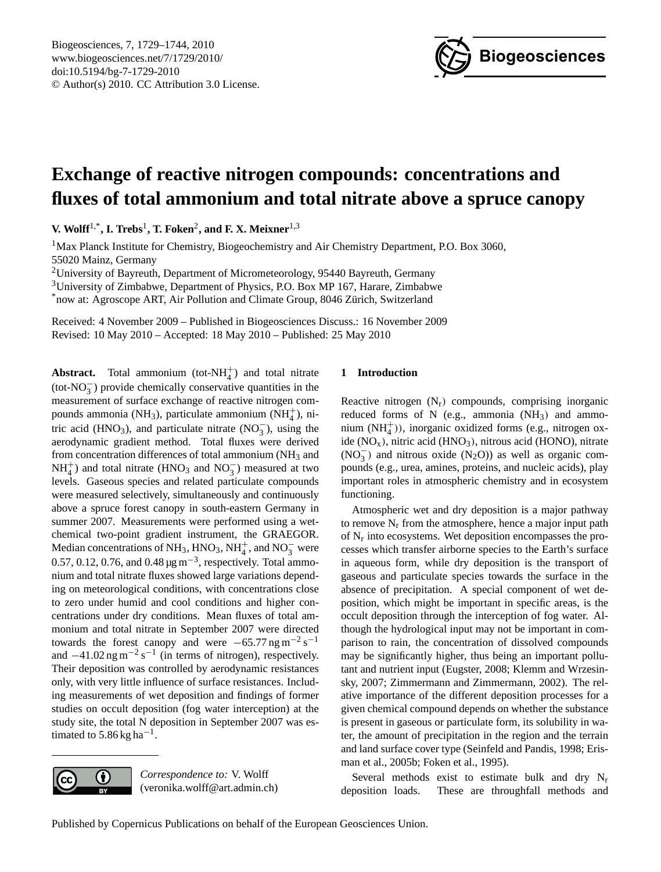

# <span id="page-0-0"></span>**Exchange of reactive nitrogen compounds: concentrations and fluxes of total ammonium and total nitrate above a spruce canopy**

**V. Wolff**1,\***, I. Trebs**<sup>1</sup> **, T. Foken**<sup>2</sup> **, and F. X. Meixner**1,3

<sup>1</sup>Max Planck Institute for Chemistry, Biogeochemistry and Air Chemistry Department, P.O. Box 3060, 55020 Mainz, Germany

<sup>2</sup>University of Bayreuth, Department of Micrometeorology, 95440 Bayreuth, Germany <sup>3</sup>University of Zimbabwe, Department of Physics, P.O. Box MP 167, Harare, Zimbabwe

\*now at: Agroscope ART, Air Pollution and Climate Group, 8046 Zürich, Switzerland

Received: 4 November 2009 – Published in Biogeosciences Discuss.: 16 November 2009 Revised: 10 May 2010 – Accepted: 18 May 2010 – Published: 25 May 2010

**Abstract.** Total ammonium (tot- $NH_4^+$ ) and total nitrate (tot-NO<sup>−</sup> 3 ) provide chemically conservative quantities in the measurement of surface exchange of reactive nitrogen compounds ammonia (NH<sub>3</sub>), particulate ammonium (NH<sub>4</sub><sup>+</sup>), nitric acid (HNO<sub>3</sub>), and particulate nitrate (NO<sub>3</sub>), using the aerodynamic gradient method. Total fluxes were derived from concentration differences of total ammonium (NH<sub>3</sub> and  $NH_4^+$ ) and total nitrate (HNO<sub>3</sub> and NO<sub>3</sub>) measured at two levels. Gaseous species and related particulate compounds were measured selectively, simultaneously and continuously above a spruce forest canopy in south-eastern Germany in summer 2007. Measurements were performed using a wetchemical two-point gradient instrument, the GRAEGOR. Median concentrations of NH<sub>3</sub>, HNO<sub>3</sub>, NH<sub>4</sub><sup>+</sup>, and NO<sub>3</sub><sup>-</sup> were 0.57, 0.12, 0.76, and 0.48  $\mu$ g m<sup>-3</sup>, respectively. Total ammonium and total nitrate fluxes showed large variations depending on meteorological conditions, with concentrations close to zero under humid and cool conditions and higher concentrations under dry conditions. Mean fluxes of total ammonium and total nitrate in September 2007 were directed towards the forest canopy and were  $-65.77$  ng m<sup>-2</sup> s<sup>-1</sup> and  $-41.02$  ng m<sup>-2</sup> s<sup>-1</sup> (in terms of nitrogen), respectively. Their deposition was controlled by aerodynamic resistances only, with very little influence of surface resistances. Including measurements of wet deposition and findings of former studies on occult deposition (fog water interception) at the study site, the total N deposition in September 2007 was estimated to  $5.86$  kg ha<sup>-1</sup>.



*Correspondence to:* V. Wolff (veronika.wolff@art.admin.ch)

# **1 Introduction**

Reactive nitrogen  $(N_r)$  compounds, comprising inorganic reduced forms of N (e.g., ammonia  $(NH_3)$ ) and ammonium (NH<sup>+</sup><sub>4</sub>)), inorganic oxidized forms (e.g., nitrogen oxide  $(NO<sub>x</sub>)$ , nitric acid  $(HNO<sub>3</sub>)$ , nitrous acid  $(HONO)$ , nitrate  $(NO<sub>3</sub><sup>-</sup>)$  and nitrous oxide  $(N<sub>2</sub>O)$ ) as well as organic compounds (e.g., urea, amines, proteins, and nucleic acids), play important roles in atmospheric chemistry and in ecosystem functioning.

Atmospheric wet and dry deposition is a major pathway to remove  $N_r$  from the atmosphere, hence a major input path of N<sup>r</sup> into ecosystems. Wet deposition encompasses the processes which transfer airborne species to the Earth's surface in aqueous form, while dry deposition is the transport of gaseous and particulate species towards the surface in the absence of precipitation. A special component of wet deposition, which might be important in specific areas, is the occult deposition through the interception of fog water. Although the hydrological input may not be important in comparison to rain, the concentration of dissolved compounds may be significantly higher, thus being an important pollutant and nutrient input (Eugster, 2008; Klemm and Wrzesinsky, 2007; Zimmermann and Zimmermann, 2002). The relative importance of the different deposition processes for a given chemical compound depends on whether the substance is present in gaseous or particulate form, its solubility in water, the amount of precipitation in the region and the terrain and land surface cover type (Seinfeld and Pandis, 1998; Erisman et al., 2005b; Foken et al., 1995).

Several methods exist to estimate bulk and dry N<sub>r</sub> deposition loads. These are throughfall methods and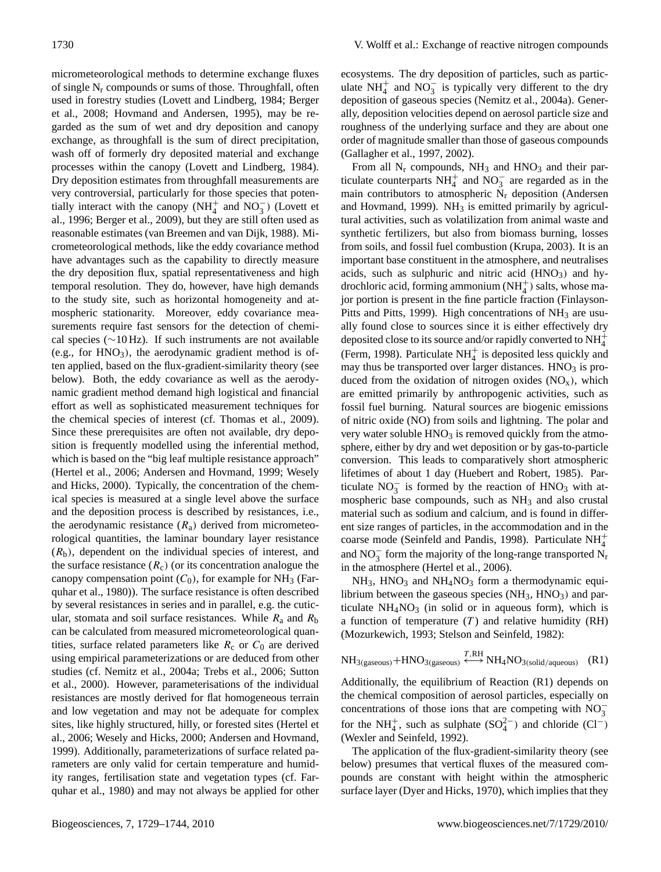micrometeorological methods to determine exchange fluxes of single  $N_r$  compounds or sums of those. Throughfall, often used in forestry studies (Lovett and Lindberg, 1984; Berger et al., 2008; Hovmand and Andersen, 1995), may be regarded as the sum of wet and dry deposition and canopy exchange, as throughfall is the sum of direct precipitation, wash off of formerly dry deposited material and exchange processes within the canopy (Lovett and Lindberg, 1984). Dry deposition estimates from throughfall measurements are very controversial, particularly for those species that potentially interact with the canopy  $(NH_4^+$  and  $NO_3^-)$  (Lovett et al., 1996; Berger et al., 2009), but they are still often used as reasonable estimates (van Breemen and van Dijk, 1988). Micrometeorological methods, like the eddy covariance method have advantages such as the capability to directly measure the dry deposition flux, spatial representativeness and high temporal resolution. They do, however, have high demands to the study site, such as horizontal homogeneity and atmospheric stationarity. Moreover, eddy covariance measurements require fast sensors for the detection of chemical species (∼10 Hz). If such instruments are not available (e.g., for  $HNO<sub>3</sub>$ ), the aerodynamic gradient method is often applied, based on the flux-gradient-similarity theory (see below). Both, the eddy covariance as well as the aerodynamic gradient method demand high logistical and financial effort as well as sophisticated measurement techniques for the chemical species of interest (cf. Thomas et al., 2009). Since these prerequisites are often not available, dry deposition is frequently modelled using the inferential method, which is based on the "big leaf multiple resistance approach" (Hertel et al., 2006; Andersen and Hovmand, 1999; Wesely and Hicks, 2000). Typically, the concentration of the chemical species is measured at a single level above the surface and the deposition process is described by resistances, i.e., the aerodynamic resistance  $(R_a)$  derived from micrometeorological quantities, the laminar boundary layer resistance  $(R_b)$ , dependent on the individual species of interest, and the surface resistance  $(R_c)$  (or its concentration analogue the canopy compensation point  $(C_0)$ , for example for NH<sub>3</sub> (Farquhar et al., 1980)). The surface resistance is often described by several resistances in series and in parallel, e.g. the cuticular, stomata and soil surface resistances. While  $R_a$  and  $R_b$ can be calculated from measured micrometeorological quantities, surface related parameters like  $R_c$  or  $C_0$  are derived using empirical parameterizations or are deduced from other studies (cf. Nemitz et al., 2004a; Trebs et al., 2006; Sutton et al., 2000). However, parameterisations of the individual resistances are mostly derived for flat homogeneous terrain and low vegetation and may not be adequate for complex sites, like highly structured, hilly, or forested sites (Hertel et al., 2006; Wesely and Hicks, 2000; Andersen and Hovmand, 1999). Additionally, parameterizations of surface related parameters are only valid for certain temperature and humidity ranges, fertilisation state and vegetation types (cf. Farquhar et al., 1980) and may not always be applied for other ecosystems. The dry deposition of particles, such as particulate  $NH_4^+$  and  $NO_3^-$  is typically very different to the dry deposition of gaseous species (Nemitz et al., 2004a). Generally, deposition velocities depend on aerosol particle size and roughness of the underlying surface and they are about one order of magnitude smaller than those of gaseous compounds (Gallagher et al., 1997, 2002).

From all  $N_r$  compounds,  $NH_3$  and  $HNO_3$  and their particulate counterparts  $NH_4^+$  and  $NO_3^-$  are regarded as in the main contributors to atmospheric  $N_r$  deposition (Andersen and Hovmand, 1999).  $NH<sub>3</sub>$  is emitted primarily by agricultural activities, such as volatilization from animal waste and synthetic fertilizers, but also from biomass burning, losses from soils, and fossil fuel combustion (Krupa, 2003). It is an important base constituent in the atmosphere, and neutralises acids, such as sulphuric and nitric acid  $(HNO<sub>3</sub>)$  and hydrochloric acid, forming ammonium  $(NH_4^+)$  salts, whose major portion is present in the fine particle fraction (Finlayson-Pitts and Pitts, 1999). High concentrations of NH<sub>3</sub> are usually found close to sources since it is either effectively dry deposited close to its source and/or rapidly converted to  $NH_4^+$ (Ferm, 1998). Particulate  $NH<sub>4</sub><sup>+</sup>$  is deposited less quickly and may thus be transported over larger distances.  $HNO<sub>3</sub>$  is produced from the oxidation of nitrogen oxides  $(NO<sub>x</sub>)$ , which are emitted primarily by anthropogenic activities, such as fossil fuel burning. Natural sources are biogenic emissions of nitric oxide (NO) from soils and lightning. The polar and very water soluble  $HNO<sub>3</sub>$  is removed quickly from the atmosphere, either by dry and wet deposition or by gas-to-particle conversion. This leads to comparatively short atmospheric lifetimes of about 1 day (Huebert and Robert, 1985). Particulate  $NO_3^-$  is formed by the reaction of  $HNO_3$  with atmospheric base compounds, such as NH<sup>3</sup> and also crustal material such as sodium and calcium, and is found in different size ranges of particles, in the accommodation and in the coarse mode (Seinfeld and Pandis, 1998). Particulate  $NH_4^+$ and  $NO_3^-$  form the majority of the long-range transported  $N_r$ in the atmosphere (Hertel et al., 2006).

 $NH<sub>3</sub>$ , HNO<sub>3</sub> and NH<sub>4</sub>NO<sub>3</sub> form a thermodynamic equilibrium between the gaseous species  $(NH_3, HNO_3)$  and particulate  $NH<sub>4</sub>NO<sub>3</sub>$  (in solid or in aqueous form), which is a function of temperature  $(T)$  and relative humidity (RH) (Mozurkewich, 1993; Stelson and Seinfeld, 1982):

$$
NH_{3(gaseous)} + HNO_{3(gaseous)} \xleftrightarrow{\text{THA}} NH_4NO_{3(solid/aqueous)} \quad (R1)
$$

Additionally, the equilibrium of Reaction (R1) depends on the chemical composition of aerosol particles, especially on concentrations of those ions that are competing with  $\overline{NO_3^-}$ for the NH<sup>+</sup><sub>4</sub>, such as sulphate  $(SO_4^{2-})$  and chloride  $(Cl^-)$ (Wexler and Seinfeld, 1992).

The application of the flux-gradient-similarity theory (see below) presumes that vertical fluxes of the measured compounds are constant with height within the atmospheric surface layer (Dyer and Hicks, 1970), which implies that they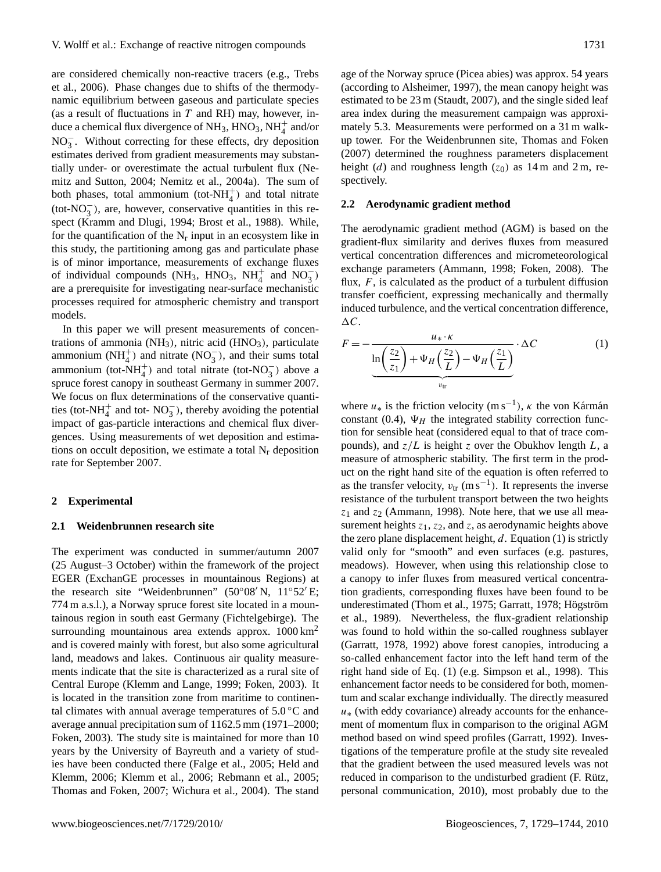are considered chemically non-reactive tracers (e.g., Trebs et al., 2006). Phase changes due to shifts of the thermodynamic equilibrium between gaseous and particulate species (as a result of fluctuations in  $T$  and RH) may, however, induce a chemical flux divergence of  $NH_3$ ,  $HNO_3$ ,  $NH_4^+$  and/or NO<sub>3</sub>. Without correcting for these effects, dry deposition estimates derived from gradient measurements may substantially under- or overestimate the actual turbulent flux (Nemitz and Sutton, 2004; Nemitz et al., 2004a). The sum of both phases, total ammonium (tot- $NH_4^+$ ) and total nitrate (tot-NO<sup>−</sup> 3 ), are, however, conservative quantities in this respect (Kramm and Dlugi, 1994; Brost et al., 1988). While, for the quantification of the  $N_r$  input in an ecosystem like in this study, the partitioning among gas and particulate phase is of minor importance, measurements of exchange fluxes of individual compounds (NH<sub>3</sub>, HNO<sub>3</sub>, NH<sub>4</sub><sup>+</sup> and NO<sub>3</sub>) are a prerequisite for investigating near-surface mechanistic processes required for atmospheric chemistry and transport models.

In this paper we will present measurements of concentrations of ammonia  $(NH_3)$ , nitric acid  $(HNO_3)$ , particulate ammonium (NH<sup>+</sup><sub>4</sub>) and nitrate (NO<sub>3</sub><sup>-</sup>), and their sums total ammonium (tot-NH<sub>4</sub><sup>+</sup>) and total nitrate (tot-NO<sub>3</sub><sup>-</sup>) above a spruce forest canopy in southeast Germany in summer 2007. We focus on flux determinations of the conservative quantities (tot-NH<sup>+</sup> and tot-NO<sub>3</sub><sup>-</sup>), thereby avoiding the potential impact of gas-particle interactions and chemical flux divergences. Using measurements of wet deposition and estimations on occult deposition, we estimate a total  $N_r$  deposition rate for September 2007.

## **2 Experimental**

# **2.1 Weidenbrunnen research site**

The experiment was conducted in summer/autumn 2007 (25 August–3 October) within the framework of the project EGER (ExchanGE processes in mountainous Regions) at the research site "Weidenbrunnen" ( $50^{\circ}08'$  N,  $11^{\circ}52'$  E; 774 m a.s.l.), a Norway spruce forest site located in a mountainous region in south east Germany (Fichtelgebirge). The surrounding mountainous area extends approx.  $1000 \text{ km}^2$ and is covered mainly with forest, but also some agricultural land, meadows and lakes. Continuous air quality measurements indicate that the site is characterized as a rural site of Central Europe (Klemm and Lange, 1999; Foken, 2003). It is located in the transition zone from maritime to continental climates with annual average temperatures of  $5.0\,^{\circ}\text{C}$  and average annual precipitation sum of 1162.5 mm (1971–2000; Foken, 2003). The study site is maintained for more than 10 years by the University of Bayreuth and a variety of studies have been conducted there (Falge et al., 2005; Held and Klemm, 2006; Klemm et al., 2006; Rebmann et al., 2005; Thomas and Foken, 2007; Wichura et al., 2004). The stand

age of the Norway spruce (Picea abies) was approx. 54 years (according to Alsheimer, 1997), the mean canopy height was estimated to be 23 m (Staudt, 2007), and the single sided leaf area index during the measurement campaign was approximately 5.3. Measurements were performed on a 31 m walkup tower. For the Weidenbrunnen site, Thomas and Foken (2007) determined the roughness parameters displacement height (d) and roughness length ( $z_0$ ) as 14 m and 2 m, respectively.

## **2.2 Aerodynamic gradient method**

The aerodynamic gradient method (AGM) is based on the gradient-flux similarity and derives fluxes from measured vertical concentration differences and micrometeorological exchange parameters (Ammann, 1998; Foken, 2008). The flux,  $F$ , is calculated as the product of a turbulent diffusion transfer coefficient, expressing mechanically and thermally induced turbulence, and the vertical concentration difference,  $\Delta C$ .

$$
F = -\frac{u_{*} \cdot \kappa}{\ln\left(\frac{z_{2}}{z_{1}}\right) + \Psi_{H}\left(\frac{z_{2}}{L}\right) - \Psi_{H}\left(\frac{z_{1}}{L}\right)} \cdot \Delta C
$$
 (1)

where  $u_*$  is the friction velocity (m s<sup>-1</sup>),  $\kappa$  the von Kármán constant (0.4),  $\Psi_H$  the integrated stability correction function for sensible heat (considered equal to that of trace compounds), and  $z/L$  is height z over the Obukhov length L, a measure of atmospheric stability. The first term in the product on the right hand site of the equation is often referred to as the transfer velocity,  $v_{tr}$  (m s<sup>-1</sup>). It represents the inverse resistance of the turbulent transport between the two heights  $z_1$  and  $z_2$  (Ammann, 1998). Note here, that we use all measurement heights  $z_1$ ,  $z_2$ , and z, as aerodynamic heights above the zero plane displacement height,  $d$ . Equation (1) is strictly valid only for "smooth" and even surfaces (e.g. pastures, meadows). However, when using this relationship close to a canopy to infer fluxes from measured vertical concentration gradients, corresponding fluxes have been found to be underestimated (Thom et al., 1975; Garratt, 1978; Högström et al., 1989). Nevertheless, the flux-gradient relationship was found to hold within the so-called roughness sublayer (Garratt, 1978, 1992) above forest canopies, introducing a so-called enhancement factor into the left hand term of the right hand side of Eq. (1) (e.g. Simpson et al., 1998). This enhancement factor needs to be considered for both, momentum and scalar exchange individually. The directly measured  $u<sub>*</sub>$  (with eddy covariance) already accounts for the enhancement of momentum flux in comparison to the original AGM method based on wind speed profiles (Garratt, 1992). Investigations of the temperature profile at the study site revealed that the gradient between the used measured levels was not reduced in comparison to the undisturbed gradient (F. Rütz, personal communication, 2010), most probably due to the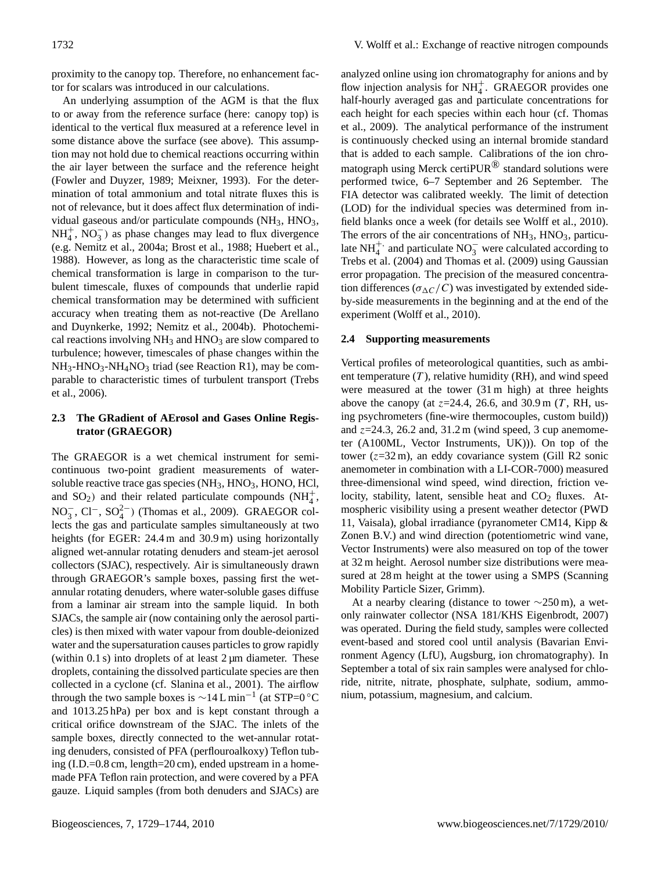proximity to the canopy top. Therefore, no enhancement factor for scalars was introduced in our calculations.

An underlying assumption of the AGM is that the flux to or away from the reference surface (here: canopy top) is identical to the vertical flux measured at a reference level in some distance above the surface (see above). This assumption may not hold due to chemical reactions occurring within the air layer between the surface and the reference height (Fowler and Duyzer, 1989; Meixner, 1993). For the determination of total ammonium and total nitrate fluxes this is not of relevance, but it does affect flux determination of individual gaseous and/or particulate compounds  $(NH_3, HNO_3)$ ,  $NH_4^+$ ,  $NO_3^-$ ) as phase changes may lead to flux divergence (e.g. Nemitz et al., 2004a; Brost et al., 1988; Huebert et al., 1988). However, as long as the characteristic time scale of chemical transformation is large in comparison to the turbulent timescale, fluxes of compounds that underlie rapid chemical transformation may be determined with sufficient accuracy when treating them as not-reactive (De Arellano and Duynkerke, 1992; Nemitz et al., 2004b). Photochemical reactions involving  $NH_3$  and  $HNO_3$  are slow compared to turbulence; however, timescales of phase changes within the  $NH_3-HNO_3-NH_4NO_3$  triad (see Reaction R1), may be comparable to characteristic times of turbulent transport (Trebs et al., 2006).

## **2.3 The GRadient of AErosol and Gases Online Registrator (GRAEGOR)**

The GRAEGOR is a wet chemical instrument for semicontinuous two-point gradient measurements of watersoluble reactive trace gas species  $(NH_3, HNO_3, HONO, HCI)$ , and  $SO_2$ ) and their related particulate compounds  $(NH_4^+)$  $NO_3^-$ ,  $Cl^-$ ,  $SO_4^{2-}$ ) (Thomas et al., 2009). GRAEGOR collects the gas and particulate samples simultaneously at two heights (for EGER: 24.4 m and 30.9 m) using horizontally aligned wet-annular rotating denuders and steam-jet aerosol collectors (SJAC), respectively. Air is simultaneously drawn through GRAEGOR's sample boxes, passing first the wetannular rotating denuders, where water-soluble gases diffuse from a laminar air stream into the sample liquid. In both SJACs, the sample air (now containing only the aerosol particles) is then mixed with water vapour from double-deionized water and the supersaturation causes particles to grow rapidly (within 0.1 s) into droplets of at least  $2 \mu m$  diameter. These droplets, containing the dissolved particulate species are then collected in a cyclone (cf. Slanina et al., 2001). The airflow through the two sample boxes is  $\sim$ 14 L min<sup>-1</sup> (at STP=0 °C and 1013.25 hPa) per box and is kept constant through a critical orifice downstream of the SJAC. The inlets of the sample boxes, directly connected to the wet-annular rotating denuders, consisted of PFA (perflouroalkoxy) Teflon tubing (I.D.=0.8 cm, length=20 cm), ended upstream in a homemade PFA Teflon rain protection, and were covered by a PFA gauze. Liquid samples (from both denuders and SJACs) are analyzed online using ion chromatography for anions and by flow injection analysis for  $NH_4^+$ . GRAEGOR provides one half-hourly averaged gas and particulate concentrations for each height for each species within each hour (cf. Thomas et al., 2009). The analytical performance of the instrument is continuously checked using an internal bromide standard that is added to each sample. Calibrations of the ion chromatograph using Merck certiPUR® standard solutions were performed twice, 6–7 September and 26 September. The FIA detector was calibrated weekly. The limit of detection (LOD) for the individual species was determined from infield blanks once a week (for details see Wolff et al., 2010). The errors of the air concentrations of  $NH_3$ ,  $HNO_3$ , particulate NH<sup>+,</sup> and particulate NO<sub>3</sub> were calculated according to Trebs et al. (2004) and Thomas et al. (2009) using Gaussian error propagation. The precision of the measured concentration differences ( $\sigma_{\Delta}C/C$ ) was investigated by extended sideby-side measurements in the beginning and at the end of the experiment (Wolff et al., 2010).

## **2.4 Supporting measurements**

Vertical profiles of meteorological quantities, such as ambient temperature  $(T)$ , relative humidity (RH), and wind speed were measured at the tower (31 m high) at three heights above the canopy (at  $z=24.4$ , 26.6, and 30.9 m (T, RH, using psychrometers (fine-wire thermocouples, custom build)) and  $z=24.3$ , 26.2 and, 31.2 m (wind speed, 3 cup anemometer (A100ML, Vector Instruments, UK))). On top of the tower ( $z=32$  m), an eddy covariance system (Gill R2 sonic anemometer in combination with a LI-COR-7000) measured three-dimensional wind speed, wind direction, friction velocity, stability, latent, sensible heat and  $CO<sub>2</sub>$  fluxes. Atmospheric visibility using a present weather detector (PWD 11, Vaisala), global irradiance (pyranometer CM14, Kipp & Zonen B.V.) and wind direction (potentiometric wind vane, Vector Instruments) were also measured on top of the tower at 32 m height. Aerosol number size distributions were measured at 28 m height at the tower using a SMPS (Scanning Mobility Particle Sizer, Grimm).

At a nearby clearing (distance to tower  $\sim$ 250 m), a wetonly rainwater collector (NSA 181/KHS Eigenbrodt, 2007) was operated. During the field study, samples were collected event-based and stored cool until analysis (Bavarian Environment Agency (LfU), Augsburg, ion chromatography). In September a total of six rain samples were analysed for chloride, nitrite, nitrate, phosphate, sulphate, sodium, ammonium, potassium, magnesium, and calcium.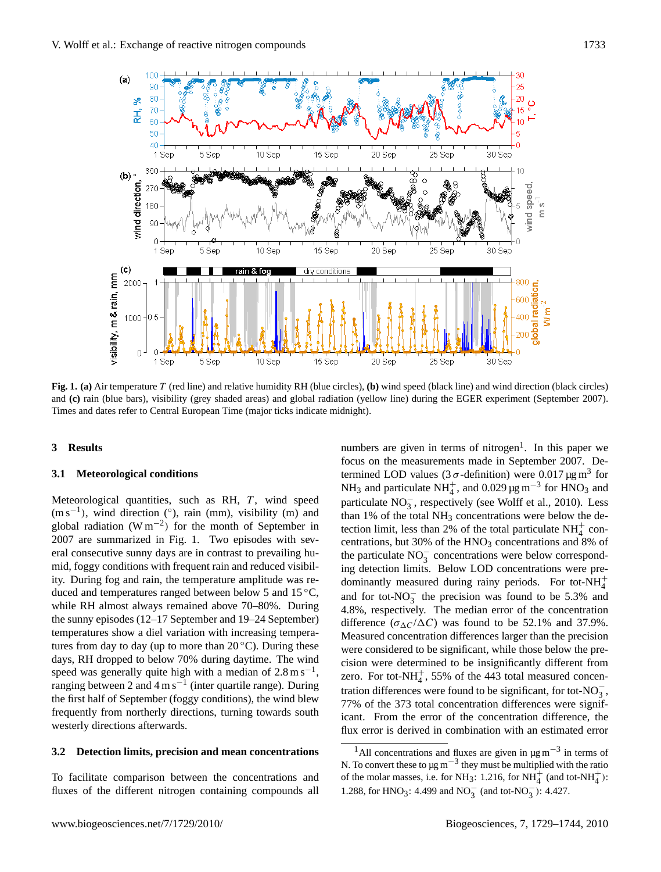

**Fig. 1. (a)** Air temperature T (red line) and relative humidity RH (blue circles), **(b)** wind speed (black line) and wind direction (black circles) and **(c)** rain (blue bars), visibility (grey shaded areas) and global radiation (yellow line) during the EGER experiment (September 2007). Times and dates refer to Central European Time (major ticks indicate midnight).

## **3 Results**

## **3.1 Meteorological conditions**

Meteorological quantities, such as RH,  $T$ , wind speed (m s<sup>-1</sup>), wind direction (°), rain (mm), visibility (m) and global radiation (W m<sup>-2</sup>) for the month of September in 2007 are summarized in Fig. 1. Two episodes with several consecutive sunny days are in contrast to prevailing humid, foggy conditions with frequent rain and reduced visibility. During fog and rain, the temperature amplitude was reduced and temperatures ranged between below 5 and 15 ◦C, while RH almost always remained above 70–80%. During the sunny episodes (12–17 September and 19–24 September) temperatures show a diel variation with increasing temperatures from day to day (up to more than  $20^{\circ}$ C). During these days, RH dropped to below 70% during daytime. The wind speed was generally quite high with a median of  $2.8 \text{ m s}^{-1}$ , ranging between 2 and  $4 \text{ m s}^{-1}$  (inter quartile range). During the first half of September (foggy conditions), the wind blew frequently from northerly directions, turning towards south westerly directions afterwards.

## **3.2 Detection limits, precision and mean concentrations**

To facilitate comparison between the concentrations and fluxes of the different nitrogen containing compounds all

numbers are given in terms of nitrogen<sup>[1](#page-4-0)</sup>. In this paper we focus on the measurements made in September 2007. Determined LOD values (3  $\sigma$ -definition) were 0.017  $\mu$ g m<sup>3</sup> for NH<sub>3</sub> and particulate NH<sub>4</sub><sup>+</sup>, and 0.029 µg m<sup>-3</sup> for HNO<sub>3</sub> and particulate NO<sub>3</sub>, respectively (see Wolff et al., 2010). Less than  $1\%$  of the total NH<sub>3</sub> concentrations were below the detection limit, less than 2% of the total particulate  $NH_4^+$  concentrations, but 30% of the  $HNO<sub>3</sub>$  concentrations and 8% of the particulate NO<sup>−</sup> 3 concentrations were below corresponding detection limits. Below LOD concentrations were predominantly measured during rainy periods. For tot- $NH_4^+$ and for tot- $NO_3^-$  the precision was found to be 5.3% and 4.8%, respectively. The median error of the concentration difference  $(\sigma_{\Lambda}C/\Delta C)$  was found to be 52.1% and 37.9%. Measured concentration differences larger than the precision were considered to be significant, while those below the precision were determined to be insignificantly different from zero. For tot-NH $_4^+$ , 55% of the 443 total measured concentration differences were found to be significant, for tot- $NO_3^-$ , 77% of the 373 total concentration differences were significant. From the error of the concentration difference, the flux error is derived in combination with an estimated error

<span id="page-4-0"></span><sup>&</sup>lt;sup>1</sup>All concentrations and fluxes are given in  $\mu$ g m<sup>-3</sup> in terms of N. To convert these to  $\mu$ g m<sup>-3</sup> they must be multiplied with the ratio of the molar masses, i.e. for NH<sub>3</sub>: 1.216, for NH<sub>4</sub><sup>+</sup> (and tot-NH<sub>4</sub><sup>+</sup>): 1.288, for HNO<sub>3</sub>: 4.499 and NO<sub>3</sub><sup>-</sup> (and tot-NO<sub>3</sub><sup>-</sup>): 4.427.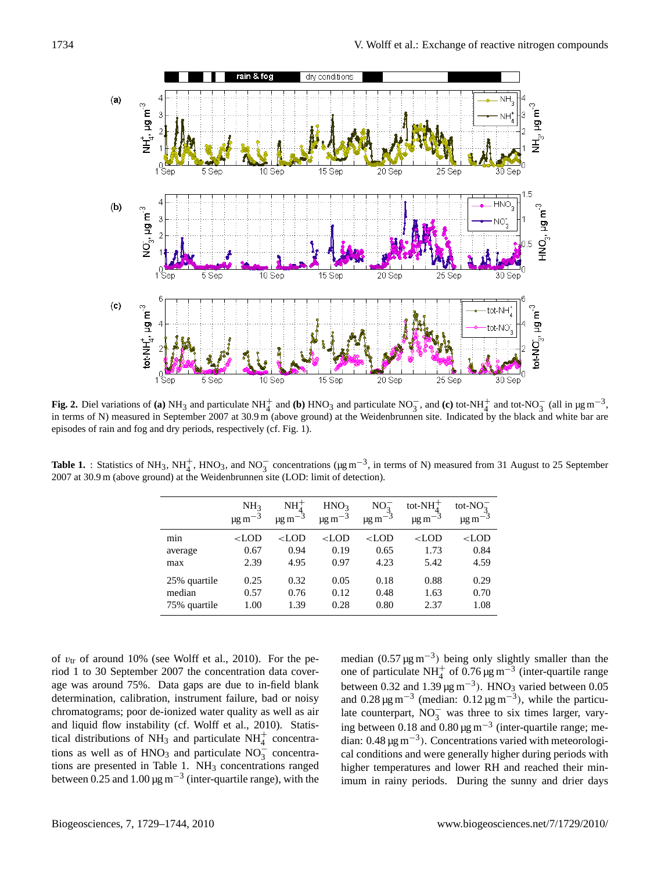

**Fig. 2.** Diel variations of **(a)** NH<sub>3</sub> and particulate NH<sub>4</sub><sup>+</sup> and **(b)** HNO<sub>3</sub> and particulate NO<sub>3</sub><sup>-</sup>, and **(c)** tot-NH<sup>+</sup><sub>4</sub><sup>+</sup> and tot-NO<sub>3</sub><sup>-</sup> (all in µg m<sup>-3</sup>, in terms of N) measured in September 2007 at 30.9 m (above ground) at the Weidenbrunnen site. Indicated by the black and white bar are episodes of rain and fog and dry periods, respectively (cf. Fig. 1).

**Table 1.** : Statistics of NH<sub>3</sub>, NH<sup>+</sup><sub>4</sub>, HNO<sub>3</sub>, and NO<sub>3</sub><sup>-</sup> concentrations ( $\mu$ g m<sup>-3</sup>, in terms of N) measured from 31 August to 25 September 2007 at 30.9 m (above ground) at the Weidenbrunnen site (LOD: limit of detection).

|              | NH <sub>3</sub><br>$\mu$ g m $^{-3}$                                                                                                                               | $NH+$<br>- 1<br>$\mu$ g m                                                                                                              | HNO <sub>3</sub><br>$\mu$ g m $^{-3}$ | NO <sub>2</sub><br>$\mu$ g m $^{-3}$                                          | tot- $NH+$<br>$\mu$ g m $^{-3}$ | tot- $NO_2^-$<br>$\mu$ g m |
|--------------|--------------------------------------------------------------------------------------------------------------------------------------------------------------------|----------------------------------------------------------------------------------------------------------------------------------------|---------------------------------------|-------------------------------------------------------------------------------|---------------------------------|----------------------------|
| min          | <lod< td=""><td><lod< td=""><td><math>&lt;</math>LOD</td><td><lod< td=""><td><math>&lt;</math>LOD</td><td><math>&lt;</math>LOD</td></lod<></td></lod<></td></lod<> | <lod< td=""><td><math>&lt;</math>LOD</td><td><lod< td=""><td><math>&lt;</math>LOD</td><td><math>&lt;</math>LOD</td></lod<></td></lod<> | $<$ LOD                               | <lod< td=""><td><math>&lt;</math>LOD</td><td><math>&lt;</math>LOD</td></lod<> | $<$ LOD                         | $<$ LOD                    |
| average      | 0.67                                                                                                                                                               | 0.94                                                                                                                                   | 0.19                                  | 0.65                                                                          | 1.73                            | 0.84                       |
| max          | 2.39                                                                                                                                                               | 4.95                                                                                                                                   | 0.97                                  | 4.23                                                                          | 5.42                            | 4.59                       |
| 25% quartile | 0.25                                                                                                                                                               | 0.32                                                                                                                                   | 0.05                                  | 0.18                                                                          | 0.88                            | 0.29                       |
| median       | 0.57                                                                                                                                                               | 0.76                                                                                                                                   | 0.12                                  | 0.48                                                                          | 1.63                            | 0.70                       |
| 75% quartile | 1.00                                                                                                                                                               | 1.39                                                                                                                                   | 0.28                                  | 0.80                                                                          | 2.37                            | 1.08                       |

of  $v_{tr}$  of around 10% (see Wolff et al., 2010). For the period 1 to 30 September 2007 the concentration data coverage was around 75%. Data gaps are due to in-field blank determination, calibration, instrument failure, bad or noisy chromatograms; poor de-ionized water quality as well as air and liquid flow instability (cf. Wolff et al., 2010). Statistical distributions of NH<sub>3</sub> and particulate  $NH<sub>4</sub><sup>+</sup>$  concentrations as well as of HNO<sub>3</sub> and particulate NO<sub>3</sub><sup>-</sup> concentrations are presented in Table 1. NH<sub>3</sub> concentrations ranged between 0.25 and 1.00  $\mu$ g m<sup>-3</sup> (inter-quartile range), with the

median  $(0.57 \,\text{\ensuremath{\mu}g\,m^{-3}})$  being only slightly smaller than the one of particulate NH<sup>+</sup> of 0.76 µg m<sup>-3</sup> (inter-quartile range between 0.32 and 1.39  $\mu$ g m<sup>-3</sup>). HNO<sub>3</sub> varied between 0.05 and  $0.28 \,\mathrm{\upmu g\,m}^{-3}$  (median:  $0.12 \,\mathrm{\upmu g\,m}^{-3}$ ), while the particulate counterpart,  $NO_3^-$  was three to six times larger, varying between 0.18 and  $0.80 \,\mathrm{\upmu g\,m}^{-3}$  (inter-quartile range; median: 0.48 µg m−<sup>3</sup> ). Concentrations varied with meteorological conditions and were generally higher during periods with higher temperatures and lower RH and reached their minimum in rainy periods. During the sunny and drier days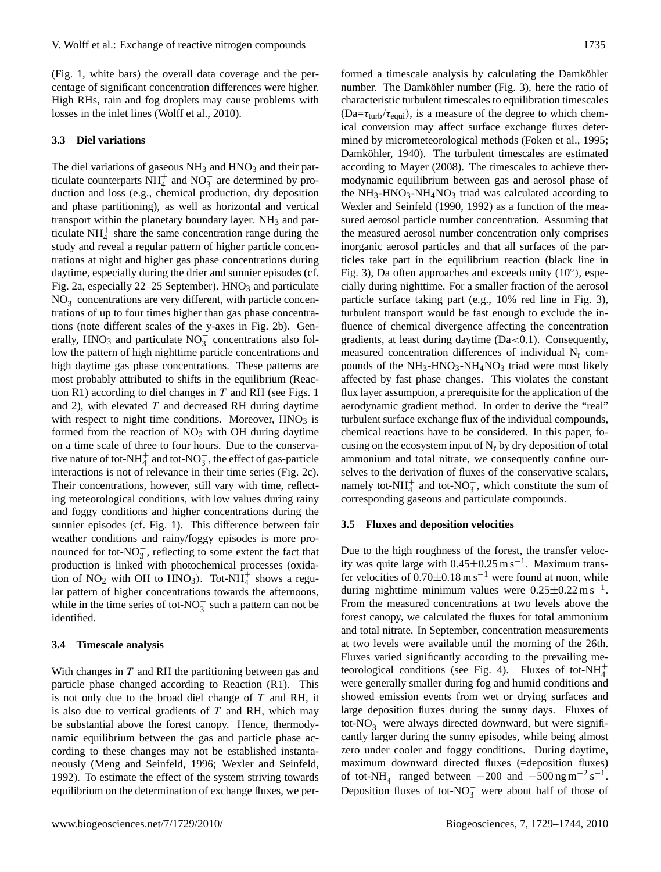(Fig. 1, white bars) the overall data coverage and the percentage of significant concentration differences were higher. High RHs, rain and fog droplets may cause problems with losses in the inlet lines (Wolff et al., 2010).

## **3.3 Diel variations**

The diel variations of gaseous  $NH<sub>3</sub>$  and  $HNO<sub>3</sub>$  and their particulate counterparts  $NH_4^+$  and  $NO_3^-$  are determined by production and loss (e.g., chemical production, dry deposition and phase partitioning), as well as horizontal and vertical transport within the planetary boundary layer.  $NH<sub>3</sub>$  and particulate  $NH<sub>4</sub><sup>+</sup>$  share the same concentration range during the study and reveal a regular pattern of higher particle concentrations at night and higher gas phase concentrations during daytime, especially during the drier and sunnier episodes (cf. Fig. 2a, especially  $22-25$  September). HNO<sub>3</sub> and particulate NO<sub>3</sub> concentrations are very different, with particle concentrations of up to four times higher than gas phase concentrations (note different scales of the y-axes in Fig. 2b). Generally, HNO<sub>3</sub> and particulate  $NO_3^-$  concentrations also follow the pattern of high nighttime particle concentrations and high daytime gas phase concentrations. These patterns are most probably attributed to shifts in the equilibrium (Reaction R1) according to diel changes in  $T$  and RH (see Figs. 1) and 2), with elevated  $T$  and decreased RH during daytime with respect to night time conditions. Moreover,  $HNO<sub>3</sub>$  is formed from the reaction of  $NO<sub>2</sub>$  with OH during daytime on a time scale of three to four hours. Due to the conservative nature of tot-NH $_4^+$  and tot-NO $_3^-$ , the effect of gas-particle interactions is not of relevance in their time series (Fig. 2c). Their concentrations, however, still vary with time, reflecting meteorological conditions, with low values during rainy and foggy conditions and higher concentrations during the sunnier episodes (cf. Fig. 1). This difference between fair weather conditions and rainy/foggy episodes is more pronounced for tot- $NO_3^-$ , reflecting to some extent the fact that production is linked with photochemical processes (oxidation of NO<sub>2</sub> with OH to HNO<sub>3</sub>). Tot-NH<sub>4</sub><sup>+</sup> shows a regular pattern of higher concentrations towards the afternoons, while in the time series of tot-NO<sub>3</sub> such a pattern can not be identified.

## **3.4 Timescale analysis**

With changes in  $T$  and RH the partitioning between gas and particle phase changed according to Reaction (R1). This is not only due to the broad diel change of  $T$  and RH, it is also due to vertical gradients of  $T$  and RH, which may be substantial above the forest canopy. Hence, thermodynamic equilibrium between the gas and particle phase according to these changes may not be established instantaneously (Meng and Seinfeld, 1996; Wexler and Seinfeld, 1992). To estimate the effect of the system striving towards equilibrium on the determination of exchange fluxes, we performed a timescale analysis by calculating the Damköhler number. The Damköhler number (Fig. 3), here the ratio of characteristic turbulent timescales to equilibration timescales  $(Da=\tau_{turb}/\tau_{equi})$ , is a measure of the degree to which chemical conversion may affect surface exchange fluxes determined by micrometeorological methods (Foken et al., 1995; Damköhler, 1940). The turbulent timescales are estimated according to Mayer (2008). The timescales to achieve thermodynamic equilibrium between gas and aerosol phase of the  $NH_3$ -HNO<sub>3</sub>-NH<sub>4</sub>NO<sub>3</sub> triad was calculated according to Wexler and Seinfeld (1990, 1992) as a function of the measured aerosol particle number concentration. Assuming that the measured aerosol number concentration only comprises inorganic aerosol particles and that all surfaces of the particles take part in the equilibrium reaction (black line in Fig. 3), Da often approaches and exceeds unity (10°), especially during nighttime. For a smaller fraction of the aerosol particle surface taking part (e.g., 10% red line in Fig. 3), turbulent transport would be fast enough to exclude the influence of chemical divergence affecting the concentration gradients, at least during daytime  $(Da<0.1)$ . Consequently, measured concentration differences of individual  $N_r$  compounds of the  $NH_3-HNO_3-NH_4NO_3$  triad were most likely affected by fast phase changes. This violates the constant flux layer assumption, a prerequisite for the application of the aerodynamic gradient method. In order to derive the "real" turbulent surface exchange flux of the individual compounds, chemical reactions have to be considered. In this paper, focusing on the ecosystem input of  $N_r$  by dry deposition of total ammonium and total nitrate, we consequently confine ourselves to the derivation of fluxes of the conservative scalars, namely tot-NH<sub>4</sub><sup>+</sup> and tot-NO<sub>3</sub><sup>-</sup>, which constitute the sum of corresponding gaseous and particulate compounds.

#### **3.5 Fluxes and deposition velocities**

Due to the high roughness of the forest, the transfer velocity was quite large with  $0.45 \pm 0.25$  m s<sup>-1</sup>. Maximum transfer velocities of  $0.70\pm0.18$  m s<sup>-1</sup> were found at noon, while during nighttime minimum values were  $0.25 \pm 0.22$  m s<sup>-1</sup>. From the measured concentrations at two levels above the forest canopy, we calculated the fluxes for total ammonium and total nitrate. In September, concentration measurements at two levels were available until the morning of the 26th. Fluxes varied significantly according to the prevailing meteorological conditions (see Fig. 4). Fluxes of tot- $NH_4^+$ were generally smaller during fog and humid conditions and showed emission events from wet or drying surfaces and large deposition fluxes during the sunny days. Fluxes of tot-NO $_3^-$  were always directed downward, but were significantly larger during the sunny episodes, while being almost zero under cooler and foggy conditions. During daytime, maximum downward directed fluxes (=deposition fluxes) of tot-NH<sup>+</sup> ranged between  $-200$  and  $-500$  ng m<sup>-2</sup> s<sup>-1</sup>. Deposition fluxes of tot-NO<sub>3</sub> were about half of those of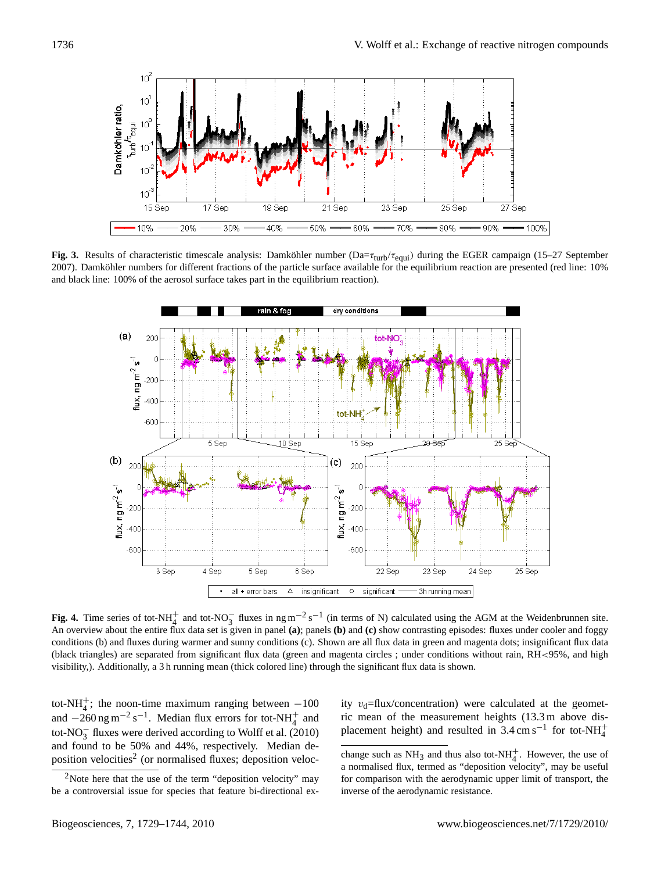

**Fig. 3.** Results of characteristic timescale analysis: Damköhler number  $(Da=\tau_{turb}/\tau_{equi})$  during the EGER campaign (15–27 September 2007). Damköhler numbers for different fractions of the particle surface available for the equilibrium reaction are presented (red line: 10% and black line: 100% of the aerosol surface takes part in the equilibrium reaction).



**Fig. 4.** Time series of tot-NH<sup>+</sup><sub>4</sub> and tot-NO<sub>3</sub> fluxes in ng m<sup>-2</sup> s<sup>-1</sup> (in terms of N) calculated using the AGM at the Weidenbrunnen site. An overview about the entire flux data set is given in panel **(a)**; panels **(b)** and **(c)** show contrasting episodes: fluxes under cooler and foggy conditions (b) and fluxes during warmer and sunny conditions (c). Shown are all flux data in green and magenta dots; insignificant flux data (black triangles) are separated from significant flux data (green and magenta circles ; under conditions without rain, RH<95%, and high visibility,). Additionally, a 3 h running mean (thick colored line) through the significant flux data is shown.

tot-NH<sup> $+$ </sup>; the noon-time maximum ranging between  $-100$ and  $-260$  ng m<sup>-2</sup> s<sup>-1</sup>. Median flux errors for tot-NH<sup>+</sup><sub>4</sub> and tot-NO<sub>3</sub> fluxes were derived according to Wolff et al. (2010) and found to be 50% and 44%, respectively. Median de-position velocities<sup>[2](#page-7-0)</sup> (or normalised fluxes; deposition veloc-

change such as  $NH_3$  and thus also tot-NH<sup>+</sup><sub>4</sub>. However, the use of a normalised flux, termed as "deposition velocity", may be useful for comparison with the aerodynamic upper limit of transport, the inverse of the aerodynamic resistance.

ity  $v_d$ =flux/concentration) were calculated at the geometric mean of the measurement heights (13.3 m above displacement height) and resulted in  $3.4 \text{ cm s}^{-1}$  for tot-NH<sup>+</sup><sub>4</sub>

<span id="page-7-0"></span><sup>&</sup>lt;sup>2</sup>Note here that the use of the term "deposition velocity" may be a controversial issue for species that feature bi-directional ex-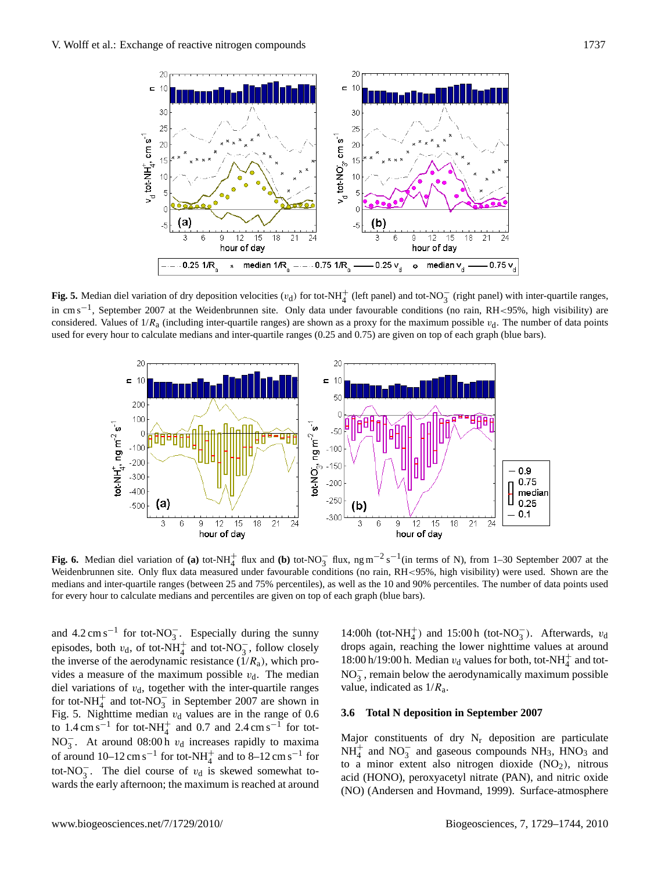

**Fig. 5.** Median diel variation of dry deposition velocities  $(v_d)$  for tot-NH<sub>4</sub><sup>+</sup> (left panel) and tot-NO<sub>3</sub><sup>-</sup> (right panel) with inter-quartile ranges, in cm s−<sup>1</sup> , September 2007 at the Weidenbrunnen site. Only data under favourable conditions (no rain, RH<95%, high visibility) are considered. Values of  $1/R_a$  (including inter-quartile ranges) are shown as a proxy for the maximum possible  $v_d$ . The number of data points used for every hour to calculate medians and inter-quartile ranges (0.25 and 0.75) are given on top of each graph (blue bars).



**Fig. 6.** Median diel variation of **(a)** tot-NH<sub>4</sub><sup>+</sup> flux and **(b)** tot-NO<sub>3</sub><sup>-</sup> flux, ng m<sup>-2</sup> s<sup>-1</sup>(in terms of N), from 1–30 September 2007 at the Weidenbrunnen site. Only flux data measured under favourable conditions (no rain, RH<95%, high visibility) were used. Shown are the medians and inter-quartile ranges (between 25 and 75% percentiles), as well as the 10 and 90% percentiles. The number of data points used for every hour to calculate medians and percentiles are given on top of each graph (blue bars).

and  $4.2 \text{ cm s}^{-1}$  for tot-NO<sub>3</sub>. Especially during the sunny episodes, both  $v_d$ , of tot-NH<sup>+</sup><sub>4</sub> and tot-NO<sub>3</sub>, follow closely the inverse of the aerodynamic resistance  $(1/R_a)$ , which provides a measure of the maximum possible  $v<sub>d</sub>$ . The median diel variations of  $v<sub>d</sub>$ , together with the inter-quartile ranges for tot-NH<sup>+</sup> and tot-NO<sub>3</sub> in September 2007 are shown in Fig. 5. Nighttime median  $v_d$  values are in the range of 0.6 to  $1.4 \text{ cm s}^{-1}$  for tot-NH<sub>4</sub><sup>+</sup> and 0.7 and 2.4 cm s<sup>-1</sup> for tot-NO<sub>3</sub>. At around 08:00 h  $v_d$  increases rapidly to maxima of around  $10-12 \text{ cm s}^{-1}$  for tot-NH<sub>4</sub><sup>+</sup> and to 8-12 cm s<sup>-1</sup> for tot-NO<sub>3</sub>. The diel course of  $v_d$  is skewed somewhat towards the early afternoon; the maximum is reached at around 14:00h (tot-NH<sup>+</sup><sub>4</sub>) and 15:00h (tot-NO<sub>3</sub>). Afterwards,  $v_d$ drops again, reaching the lower nighttime values at around 18:00 h/19:00 h. Median  $v_d$  values for both, tot-NH<sub>4</sub><sup>+</sup> and tot- $NO<sub>3</sub><sup>-</sup>$ , remain below the aerodynamically maximum possible value, indicated as  $1/R_a$ .

## **3.6 Total N deposition in September 2007**

Major constituents of dry  $N_r$  deposition are particulate  $NH_4^+$  and  $NO_3^-$  and gaseous compounds  $NH_3$ ,  $\text{HNO}_3$  and to a minor extent also nitrogen dioxide  $(NO<sub>2</sub>)$ , nitrous acid (HONO), peroxyacetyl nitrate (PAN), and nitric oxide (NO) (Andersen and Hovmand, 1999). Surface-atmosphere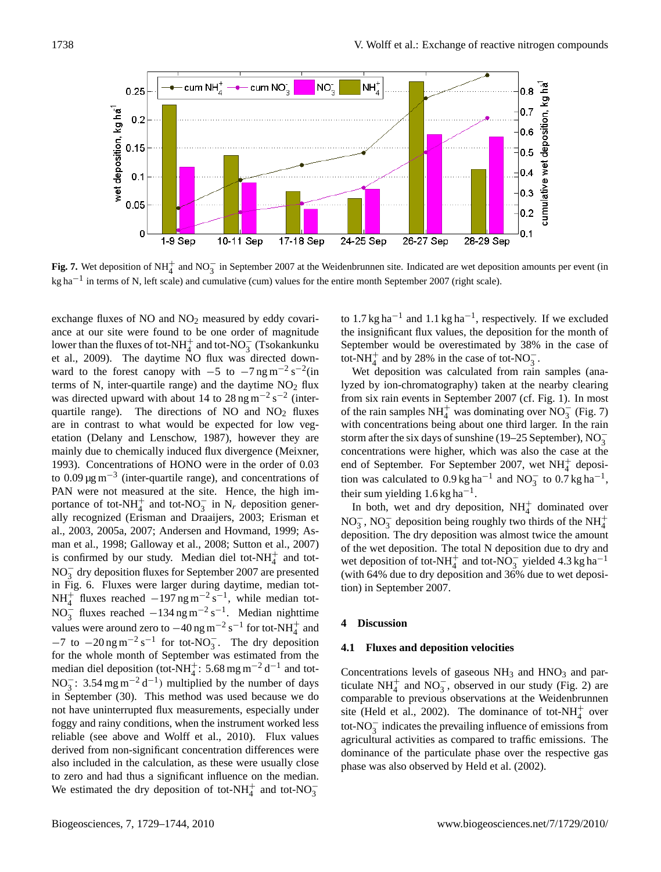

**Fig. 7.** Wet deposition of NH<sub>4</sub><sup>+</sup> and NO<sub>3</sub><sup>-</sup> in September 2007 at the Weidenbrunnen site. Indicated are wet deposition amounts per event (in kg ha<sup>-1</sup> in terms of N, left scale) and cumulative (cum) values for the entire month September 2007 (right scale).

exchange fluxes of  $NO$  and  $NO<sub>2</sub>$  measured by eddy covariance at our site were found to be one order of magnitude lower than the fluxes of tot-NH<sup>+</sup> and tot-NO<sub>3</sub> (Tsokankunku et al., 2009). The daytime NO flux was directed downward to the forest canopy with  $-5$  to  $-7$  ng m<sup>-2</sup> s<sup>-2</sup>(in terms of N, inter-quartile range) and the daytime  $NO<sub>2</sub>$  flux was directed upward with about 14 to  $28 \text{ ng m}^{-2} \text{ s}^{-2}$  (interquartile range). The directions of NO and  $NO<sub>2</sub>$  fluxes are in contrast to what would be expected for low vegetation (Delany and Lenschow, 1987), however they are mainly due to chemically induced flux divergence (Meixner, 1993). Concentrations of HONO were in the order of 0.03 to  $0.09 \,\mathrm{\upmu}\mathrm{g}\,\mathrm{m}^{-3}$  (inter-quartile range), and concentrations of PAN were not measured at the site. Hence, the high importance of tot-NH<sub>4</sub><sup>+</sup> and tot-NO<sub>3</sub><sup>-</sup> in N<sub>r</sub> deposition generally recognized (Erisman and Draaijers, 2003; Erisman et al., 2003, 2005a, 2007; Andersen and Hovmand, 1999; Asman et al., 1998; Galloway et al., 2008; Sutton et al., 2007) is confirmed by our study. Median diel tot- $NH<sub>4</sub><sup>+</sup>$  and tot-NO<sub>3</sub> dry deposition fluxes for September 2007 are presented in Fig. 6. Fluxes were larger during daytime, median tot-NH<sup>+</sup> fluxes reached  $-197$  ng m<sup>-2</sup> s<sup>-1</sup>, while median tot-NO<sub>3</sub> fluxes reached  $-134$  ng m<sup>-2</sup> s<sup>-1</sup>. Median nighttime values were around zero to  $-40$  ng m<sup>-2</sup> s<sup>-1</sup> for tot-NH<sub>4</sub><sup>+</sup> and  $-7$  to  $-20$  ng m<sup>-2</sup> s<sup>-1</sup> for tot-NO<sub>3</sub>. The dry deposition for the whole month of September was estimated from the median diel deposition (tot-NH<sup>+</sup>: 5.68 mg m<sup>-2</sup> d<sup>-1</sup> and tot-NO<sub>3</sub>: 3.54 mg m<sup>-2</sup> d<sup>-1</sup>) multiplied by the number of days in September (30). This method was used because we do not have uninterrupted flux measurements, especially under foggy and rainy conditions, when the instrument worked less reliable (see above and Wolff et al., 2010). Flux values derived from non-significant concentration differences were also included in the calculation, as these were usually close to zero and had thus a significant influence on the median. We estimated the dry deposition of tot-NH<sup>+</sup><sub>4</sub> and tot-NO<sub>3</sub>

to 1.7 kg ha<sup>-1</sup> and 1.1 kg ha<sup>-1</sup>, respectively. If we excluded the insignificant flux values, the deposition for the month of September would be overestimated by 38% in the case of tot-NH $_4^+$  and by 28% in the case of tot-NO<sub>3</sub>.

Wet deposition was calculated from rain samples (analyzed by ion-chromatography) taken at the nearby clearing from six rain events in September 2007 (cf. Fig. 1). In most of the rain samples  $NH_4^+$  was dominating over  $NO_3^-$  (Fig. 7) with concentrations being about one third larger. In the rain storm after the six days of sunshine (19–25 September),  $NO_3^$ concentrations were higher, which was also the case at the end of September. For September 2007, wet NH $_4^+$  deposition was calculated to  $0.9 \text{ kg h} \text{a}^{-1}$  and NO<sub>3</sub> to  $0.7 \text{ kg h} \text{a}^{-1}$ , their sum yielding  $1.6$  kg ha<sup>-1</sup>.

In both, wet and dry deposition,  $NH<sub>4</sub><sup>+</sup>$  dominated over NO<sub>3</sub>, NO<sub>3</sub> deposition being roughly two thirds of the NH<sup>+</sup><sub>4</sub> deposition. The dry deposition was almost twice the amount of the wet deposition. The total N deposition due to dry and wet deposition of tot-NH<sub>4</sub><sup>+</sup> and tot-NO<sub>3</sub><sup>-</sup> yielded 4.3 kg ha<sup>-1</sup> (with 64% due to dry deposition and 36% due to wet deposition) in September 2007.

#### **4 Discussion**

#### **4.1 Fluxes and deposition velocities**

Concentrations levels of gaseous  $NH<sub>3</sub>$  and  $HNO<sub>3</sub>$  and particulate  $NH_4^+$  and  $NO_3^-$ , observed in our study (Fig. 2) are comparable to previous observations at the Weidenbrunnen site (Held et al., 2002). The dominance of tot-NH $_4^+$  over tot-NO<sup>−</sup> 3 indicates the prevailing influence of emissions from agricultural activities as compared to traffic emissions. The dominance of the particulate phase over the respective gas phase was also observed by Held et al. (2002).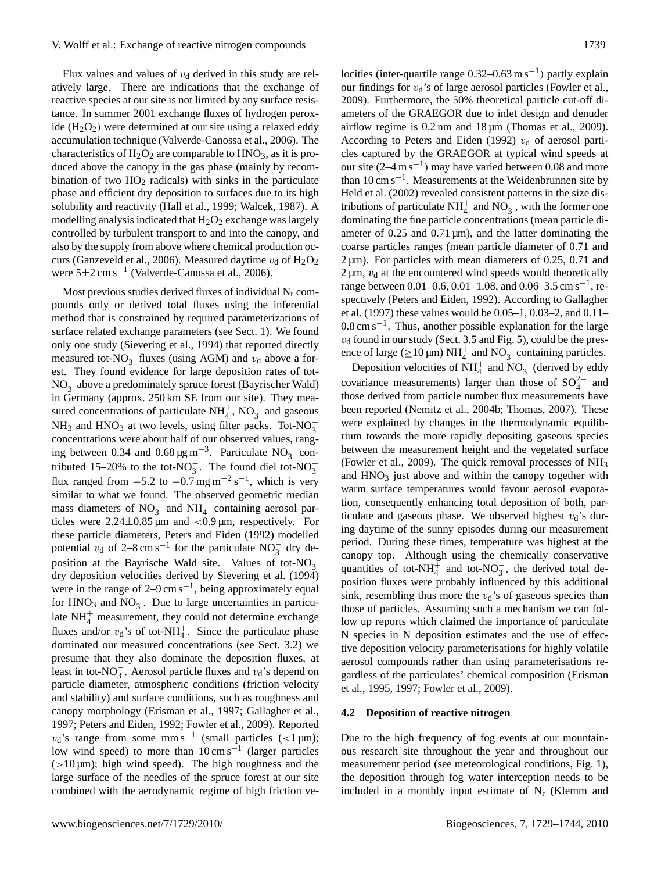Flux values and values of  $v<sub>d</sub>$  derived in this study are relatively large. There are indications that the exchange of reactive species at our site is not limited by any surface resistance. In summer 2001 exchange fluxes of hydrogen peroxide  $(H<sub>2</sub>O<sub>2</sub>)$  were determined at our site using a relaxed eddy accumulation technique (Valverde-Canossa et al., 2006). The characteristics of  $H_2O_2$  are comparable to  $HNO_3$ , as it is produced above the canopy in the gas phase (mainly by recombination of two  $HO<sub>2</sub>$  radicals) with sinks in the particulate phase and efficient dry deposition to surfaces due to its high solubility and reactivity (Hall et al., 1999; Walcek, 1987). A modelling analysis indicated that  $H_2O_2$  exchange was largely controlled by turbulent transport to and into the canopy, and also by the supply from above where chemical production occurs (Ganzeveld et al., 2006). Measured daytime  $v_d$  of  $H_2O_2$ were 5±2 cm s−<sup>1</sup> (Valverde-Canossa et al., 2006).

Most previous studies derived fluxes of individual  $N_r$  compounds only or derived total fluxes using the inferential method that is constrained by required parameterizations of surface related exchange parameters (see Sect. 1). We found only one study (Sievering et al., 1994) that reported directly measured tot- $NO_3^-$  fluxes (using AGM) and  $v_d$  above a forest. They found evidence for large deposition rates of tot-NO<sup>−</sup> 3 above a predominately spruce forest (Bayrischer Wald) in Germany (approx. 250 km SE from our site). They measured concentrations of particulate  $NH_4^+$ ,  $NO_3^-$  and gaseous  $NH_3$  and  $HNO_3$  at two levels, using filter packs. Tot- $NO_3^$ concentrations were about half of our observed values, ranging between 0.34 and  $0.68 \,\mathrm{\upmu g\,m}^{-3}$ . Particulate NO<sub>3</sub> contributed 15–20% to the tot-NO<sub>3</sub>. The found diel tot-NO<sub>3</sub> flux ranged from  $-5.2$  to  $-0.7$  mg m<sup>-2</sup> s<sup>-1</sup>, which is very similar to what we found. The observed geometric median mass diameters of  $NO_3^-$  and  $NH_4^+$  containing aerosol particles were  $2.24 \pm 0.85 \,\text{\mu m}$  and  $\lt 0.9 \,\text{\mu m}$ , respectively. For these particle diameters, Peters and Eiden (1992) modelled potential  $v_d$  of 2–8 cm s<sup>-1</sup> for the particulate NO<sub>3</sub><sup>-</sup> dry deposition at the Bayrische Wald site. Values of tot- $NO_3^$ dry deposition velocities derived by Sievering et al. (1994) were in the range of  $2-9 \text{ cm s}^{-1}$ , being approximately equal for  $HNO<sub>3</sub>$  and  $NO<sub>3</sub><sup>-</sup>$ . Due to large uncertainties in particulate  $NH<sub>4</sub><sup>+</sup>$  measurement, they could not determine exchange fluxes and/or  $v_d$ 's of tot-NH<sup>+</sup><sub>4</sub>. Since the particulate phase dominated our measured concentrations (see Sect. 3.2) we presume that they also dominate the deposition fluxes, at least in tot-NO<sub>3</sub>. Aerosol particle fluxes and  $v_d$ 's depend on particle diameter, atmospheric conditions (friction velocity and stability) and surface conditions, such as roughness and canopy morphology (Erisman et al., 1997; Gallagher et al., 1997; Peters and Eiden, 1992; Fowler et al., 2009). Reported  $v_d$ 's range from some mm s<sup>-1</sup> (small particles (<1 µm); low wind speed) to more than  $10 \text{ cm s}^{-1}$  (larger particles  $(>10 \,\mu m)$ ; high wind speed). The high roughness and the large surface of the needles of the spruce forest at our site combined with the aerodynamic regime of high friction ve-

locities (inter-quartile range  $0.32-0.63$  m s<sup>-1</sup>) partly explain our findings for  $v_d$ 's of large aerosol particles (Fowler et al., 2009). Furthermore, the 50% theoretical particle cut-off diameters of the GRAEGOR due to inlet design and denuder airflow regime is 0.2 nm and 18 µm (Thomas et al., 2009). According to Peters and Eiden (1992)  $v_d$  of aerosol particles captured by the GRAEGOR at typical wind speeds at our site  $(2-4 \text{ m s}^{-1})$  may have varied between 0.08 and more than 10 cm s−<sup>1</sup> . Measurements at the Weidenbrunnen site by Held et al. (2002) revealed consistent patterns in the size distributions of particulate NH<sup> $+$ </sup> and NO<sub>3</sub>, with the former one dominating the fine particle concentrations (mean particle diameter of 0.25 and 0.71  $\mu$ m), and the latter dominating the coarse particles ranges (mean particle diameter of 0.71 and  $2 \mu m$ ). For particles with mean diameters of 0.25, 0.71 and  $2 \mu m$ ,  $v_d$  at the encountered wind speeds would theoretically range between 0.01–0.6, 0.01–1.08, and 0.06–3.5 cm s<sup>-1</sup>, respectively (Peters and Eiden, 1992). According to Gallagher et al. (1997) these values would be 0.05–1, 0.03–2, and 0.11–  $0.8 \text{ cm s}^{-1}$ . Thus, another possible explanation for the large  $v<sub>d</sub>$  found in our study (Sect. 3.5 and Fig. 5), could be the presence of large ( $\geq$ 10 µm) NH<sup>+</sup><sub>4</sub> and NO<sub>3</sub><sup>-</sup> containing particles.

Deposition velocities of  $NH_4^+$  and  $NO_3^-$  (derived by eddy covariance measurements) larger than those of  $SO_4^{2-}$  and those derived from particle number flux measurements have been reported (Nemitz et al., 2004b; Thomas, 2007). These were explained by changes in the thermodynamic equilibrium towards the more rapidly depositing gaseous species between the measurement height and the vegetated surface (Fowler et al., 2009). The quick removal processes of NH<sup>3</sup> and  $HNO<sub>3</sub>$  just above and within the canopy together with warm surface temperatures would favour aerosol evaporation, consequently enhancing total deposition of both, particulate and gaseous phase. We observed highest  $v_d$ 's during daytime of the sunny episodes during our measurement period. During these times, temperature was highest at the canopy top. Although using the chemically conservative quantities of tot-NH<sub>4</sub><sup>+</sup> and tot-NO<sub>3</sub><sup>-</sup>, the derived total deposition fluxes were probably influenced by this additional sink, resembling thus more the  $v<sub>d</sub>$ 's of gaseous species than those of particles. Assuming such a mechanism we can follow up reports which claimed the importance of particulate N species in N deposition estimates and the use of effective deposition velocity parameterisations for highly volatile aerosol compounds rather than using parameterisations regardless of the particulates' chemical composition (Erisman et al., 1995, 1997; Fowler et al., 2009).

## **4.2 Deposition of reactive nitrogen**

Due to the high frequency of fog events at our mountainous research site throughout the year and throughout our measurement period (see meteorological conditions, Fig. 1), the deposition through fog water interception needs to be included in a monthly input estimate of  $N_r$  (Klemm and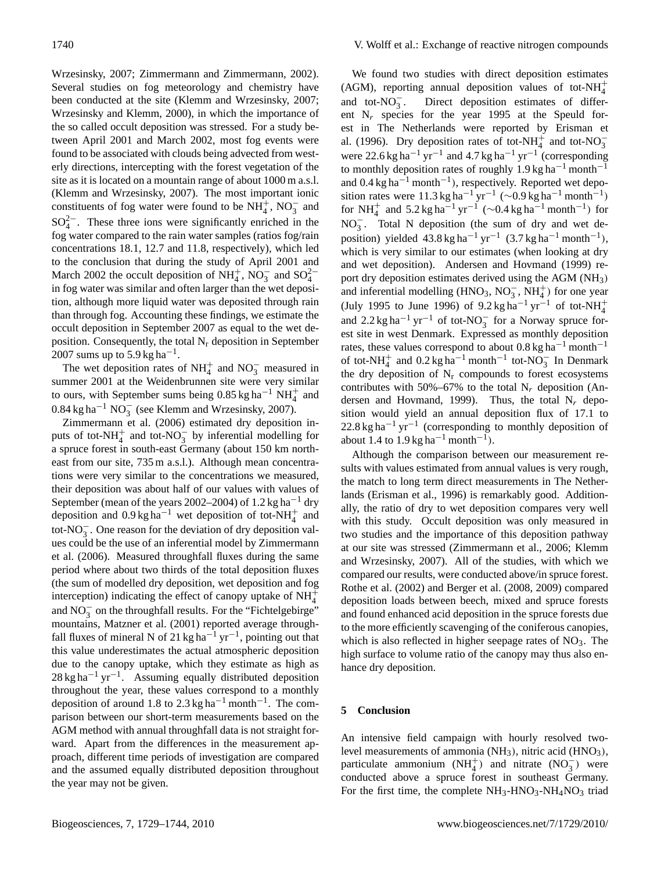Wrzesinsky, 2007; Zimmermann and Zimmermann, 2002). Several studies on fog meteorology and chemistry have been conducted at the site (Klemm and Wrzesinsky, 2007; Wrzesinsky and Klemm, 2000), in which the importance of the so called occult deposition was stressed. For a study between April 2001 and March 2002, most fog events were found to be associated with clouds being advected from westerly directions, intercepting with the forest vegetation of the site as it is located on a mountain range of about 1000 m a.s.l. (Klemm and Wrzesinsky, 2007). The most important ionic constituents of fog water were found to be  $NH_4^+$ ,  $NO_3^-$  and  $SO_4^{2-}$ . These three ions were significantly enriched in the fog water compared to the rain water samples (ratios fog/rain concentrations 18.1, 12.7 and 11.8, respectively), which led to the conclusion that during the study of April 2001 and March 2002 the occult deposition of  $NH_4^+$ ,  $NO_3^-$  and  $SO_4^{2-}$ in fog water was similar and often larger than the wet deposition, although more liquid water was deposited through rain than through fog. Accounting these findings, we estimate the occult deposition in September 2007 as equal to the wet deposition. Consequently, the total  $N_r$  deposition in September 2007 sums up to 5.9 kg ha<sup>-1</sup>.

The wet deposition rates of  $NH_4^+$  and  $NO_3^-$  measured in summer 2001 at the Weidenbrunnen site were very similar to ours, with September sums being  $0.85 \text{ kg ha}^{-1} \text{ NH}_4^+$  and  $0.84 \text{ kg ha}^{-1} \text{ NO}_3^-$  (see Klemm and Wrzesinsky, 2007).

Zimmermann et al. (2006) estimated dry deposition inputs of tot-NH<sub>4</sub><sup>+</sup> and tot-NO<sub>3</sub><sup>-</sup> by inferential modelling for a spruce forest in south-east Germany (about 150 km northeast from our site, 735 m a.s.l.). Although mean concentrations were very similar to the concentrations we measured, their deposition was about half of our values with values of September (mean of the years 2002–2004) of 1.2 kg ha−<sup>1</sup> dry deposition and  $0.9 \text{ kg ha}^{-1}$  wet deposition of tot-NH<sup>+</sup><sub>4</sub> and tot-NO $_3^-$ . One reason for the deviation of dry deposition values could be the use of an inferential model by Zimmermann et al. (2006). Measured throughfall fluxes during the same period where about two thirds of the total deposition fluxes (the sum of modelled dry deposition, wet deposition and fog interception) indicating the effect of canopy uptake of  $NH_4^+$ and  $NO_3^-$  on the throughfall results. For the "Fichtelgebirge" mountains, Matzner et al. (2001) reported average throughfall fluxes of mineral N of 21 kg ha<sup>-1</sup> yr<sup>-1</sup>, pointing out that this value underestimates the actual atmospheric deposition due to the canopy uptake, which they estimate as high as 28 kg ha<sup>-1</sup> yr<sup>-1</sup>. Assuming equally distributed deposition throughout the year, these values correspond to a monthly deposition of around 1.8 to 2.3 kg ha<sup>-1</sup> month<sup>-1</sup>. The comparison between our short-term measurements based on the AGM method with annual throughfall data is not straight forward. Apart from the differences in the measurement approach, different time periods of investigation are compared and the assumed equally distributed deposition throughout the year may not be given.

We found two studies with direct deposition estimates (AGM), reporting annual deposition values of tot-NH $_4^+$ and tot- $NO_3^-$ . Direct deposition estimates of different  $N_r$  species for the year 1995 at the Speuld forest in The Netherlands were reported by Erisman et al. (1996). Dry deposition rates of tot-NH<sup>+</sup> and tot-NO<sub>3</sub> were 22.6 kg ha<sup>-1</sup> yr<sup>-1</sup> and 4.7 kg ha<sup>-1</sup> yr<sup>-1</sup> (corresponding to monthly deposition rates of roughly  $1.9 \text{ kg ha}^{-1}$  month<sup>-1</sup> and 0.4 kg ha−<sup>1</sup> month−<sup>1</sup> ), respectively. Reported wet deposition rates were  $11.3 \text{ kg ha}^{-1} \text{ yr}^{-1}$  (~0.9 kg ha<sup>-1</sup> month<sup>-1</sup>) for NH<sup>+</sup> and 5.2 kg ha<sup>-1</sup> yr<sup>-1</sup> (~0.4 kg ha<sup>-1</sup> month<sup>-1</sup>) for NO<sup>−</sup> 3 . Total N deposition (the sum of dry and wet deposition) yielded  $43.8 \text{ kg ha}^{-1} \text{ yr}^{-1}$  (3.7 kg ha<sup>-1</sup> month<sup>-1</sup>), which is very similar to our estimates (when looking at dry and wet deposition). Andersen and Hovmand (1999) report dry deposition estimates derived using the AGM (NH<sub>3</sub>) and inferential modelling (HNO<sub>3</sub>, NO<sub>3</sub><sup>-</sup>, NH<sup>+</sup><sub>4</sub>) for one year (July 1995 to June 1996) of  $9.2 \text{ kg ha}^{-1} \text{ yr}^{-1}$  of tot-NH<sup>+</sup><sub>4</sub> and  $2.2 \text{ kg ha}^{-1} \text{ yr}^{-1}$  of tot-NO<sub>3</sub> for a Norway spruce forest site in west Denmark. Expressed as monthly deposition rates, these values correspond to about  $0.8 \text{ kg ha}^{-1}$  month<sup>-1</sup> of tot-NH<sup>+</sup> and  $0.2 \text{ kg ha}^{-1}$  month<sup>-1</sup> tot-NO<sub>3</sub> In Denmark the dry deposition of  $N_r$  compounds to forest ecosystems contributes with 50%–67% to the total  $N_r$  deposition (Andersen and Hovmand, 1999). Thus, the total  $N_r$  deposition would yield an annual deposition flux of 17.1 to  $22.8 \text{ kg ha}^{-1} \text{ yr}^{-1}$  (corresponding to monthly deposition of about 1.4 to 1.9 kg ha<sup>-1</sup> month<sup>-1</sup>).

Although the comparison between our measurement results with values estimated from annual values is very rough, the match to long term direct measurements in The Netherlands (Erisman et al., 1996) is remarkably good. Additionally, the ratio of dry to wet deposition compares very well with this study. Occult deposition was only measured in two studies and the importance of this deposition pathway at our site was stressed (Zimmermann et al., 2006; Klemm and Wrzesinsky, 2007). All of the studies, with which we compared our results, were conducted above/in spruce forest. Rothe et al. (2002) and Berger et al. (2008, 2009) compared deposition loads between beech, mixed and spruce forests and found enhanced acid deposition in the spruce forests due to the more efficiently scavenging of the coniferous canopies, which is also reflected in higher seepage rates of NO<sub>3</sub>. The high surface to volume ratio of the canopy may thus also enhance dry deposition.

## **5 Conclusion**

An intensive field campaign with hourly resolved twolevel measurements of ammonia  $(NH_3)$ , nitric acid  $(HNO_3)$ , particulate ammonium  $(NH_4^+)$  and nitrate  $(NO_3^-)$  were conducted above a spruce forest in southeast Germany. For the first time, the complete  $NH_3$ -HNO<sub>3</sub>-NH<sub>4</sub>NO<sub>3</sub> triad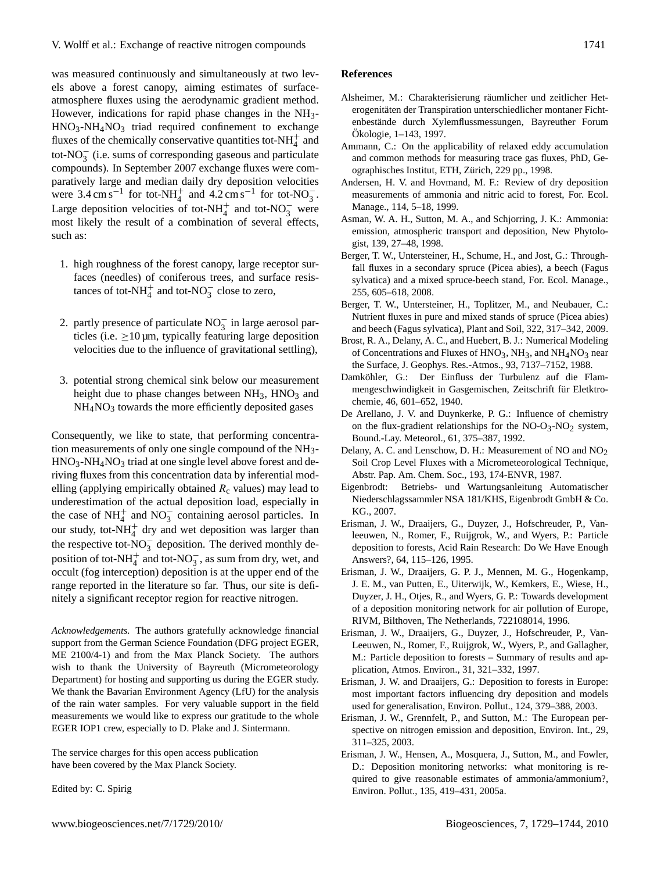was measured continuously and simultaneously at two levels above a forest canopy, aiming estimates of surfaceatmosphere fluxes using the aerodynamic gradient method. However, indications for rapid phase changes in the NH3-  $HNO<sub>3</sub>-NH<sub>4</sub>NO<sub>3</sub>$  triad required confinement to exchange fluxes of the chemically conservative quantities tot-NH $_4^+$  and tot- $NO_3^-$  (i.e. sums of corresponding gaseous and particulate compounds). In September 2007 exchange fluxes were comparatively large and median daily dry deposition velocities were  $3.4 \text{ cm s}^{-1}$  for tot-NH<sub>4</sub><sup>+</sup> and  $4.2 \text{ cm s}^{-1}$  for tot-NO<sub>3</sub>. Large deposition velocities of tot-NH<sup>+</sup> and tot-NO<sub>3</sub> were most likely the result of a combination of several effects, such as:

- 1. high roughness of the forest canopy, large receptor surfaces (needles) of coniferous trees, and surface resistances of tot- $NH_4^+$  and tot- $NO_3^-$  close to zero,
- 2. partly presence of particulate  $NO_3^-$  in large aerosol particles (i.e.  $\geq 10 \mu m$ , typically featuring large deposition velocities due to the influence of gravitational settling),
- 3. potential strong chemical sink below our measurement height due to phase changes between  $NH<sub>3</sub>$ ,  $HNO<sub>3</sub>$  and  $NH<sub>4</sub>NO<sub>3</sub>$  towards the more efficiently deposited gases

Consequently, we like to state, that performing concentration measurements of only one single compound of the NH3- HNO3-NH4NO<sup>3</sup> triad at one single level above forest and deriving fluxes from this concentration data by inferential modelling (applying empirically obtained  $R_c$  values) may lead to underestimation of the actual deposition load, especially in the case of  $NH_4^+$  and  $NO_3^-$  containing aerosol particles. In our study, tot- $NH<sub>4</sub><sup>+</sup>$  dry and wet deposition was larger than the respective tot- $\overline{NO_3^-}$  deposition. The derived monthly deposition of tot-NH<sup>+</sup> and tot-NO<sub>3</sub>, as sum from dry, wet, and occult (fog interception) deposition is at the upper end of the range reported in the literature so far. Thus, our site is definitely a significant receptor region for reactive nitrogen.

*Acknowledgements.* The authors gratefully acknowledge financial support from the German Science Foundation (DFG project EGER, ME 2100/4-1) and from the Max Planck Society. The authors wish to thank the University of Bayreuth (Micrometeorology Department) for hosting and supporting us during the EGER study. We thank the Bavarian Environment Agency (LfU) for the analysis of the rain water samples. For very valuable support in the field measurements we would like to express our gratitude to the whole EGER IOP1 crew, especially to D. Plake and J. Sintermann.

The service charges for this open access publication have been covered by the Max Planck Society.

Edited by: C. Spirig

#### **References**

- Alsheimer, M.: Charakterisierung räumlicher und zeitlicher Heterogenitäten der Transpiration unterschiedlicher montaner Fichtenbestände durch Xylemflussmessungen, Bayreuther Forum Ökologie, 1–143, 1997.
- Ammann, C.: On the applicability of relaxed eddy accumulation and common methods for measuring trace gas fluxes, PhD, Geographisches Institut, ETH, Zurich, 229 pp., 1998. ¨
- Andersen, H. V. and Hovmand, M. F.: Review of dry deposition measurements of ammonia and nitric acid to forest, For. Ecol. Manage., 114, 5–18, 1999.
- Asman, W. A. H., Sutton, M. A., and Schjorring, J. K.: Ammonia: emission, atmospheric transport and deposition, New Phytologist, 139, 27–48, 1998.
- Berger, T. W., Untersteiner, H., Schume, H., and Jost, G.: Throughfall fluxes in a secondary spruce (Picea abies), a beech (Fagus sylvatica) and a mixed spruce-beech stand, For. Ecol. Manage., 255, 605–618, 2008.
- Berger, T. W., Untersteiner, H., Toplitzer, M., and Neubauer, C.: Nutrient fluxes in pure and mixed stands of spruce (Picea abies) and beech (Fagus sylvatica), Plant and Soil, 322, 317–342, 2009.
- Brost, R. A., Delany, A. C., and Huebert, B. J.: Numerical Modeling of Concentrations and Fluxes of  $HNO<sub>3</sub>$ , NH<sub>3</sub>, and NH<sub>4</sub>NO<sub>3</sub> near the Surface, J. Geophys. Res.-Atmos., 93, 7137–7152, 1988.
- Damköhler, G.: Der Einfluss der Turbulenz auf die Flammengeschwindigkeit in Gasgemischen, Zeitschrift für Eletktrochemie, 46, 601–652, 1940.
- De Arellano, J. V. and Duynkerke, P. G.: Influence of chemistry on the flux-gradient relationships for the  $NO-O<sub>3</sub>-NO<sub>2</sub>$  system, Bound.-Lay. Meteorol., 61, 375–387, 1992.
- Delany, A. C. and Lenschow, D. H.: Measurement of NO and NO<sub>2</sub> Soil Crop Level Fluxes with a Micrometeorological Technique, Abstr. Pap. Am. Chem. Soc., 193, 174-ENVR, 1987.
- Eigenbrodt: Betriebs- und Wartungsanleitung Automatischer Niederschlagssammler NSA 181/KHS, Eigenbrodt GmbH & Co. KG., 2007.
- Erisman, J. W., Draaijers, G., Duyzer, J., Hofschreuder, P., Vanleeuwen, N., Romer, F., Ruijgrok, W., and Wyers, P.: Particle deposition to forests, Acid Rain Research: Do We Have Enough Answers?, 64, 115–126, 1995.
- Erisman, J. W., Draaijers, G. P. J., Mennen, M. G., Hogenkamp, J. E. M., van Putten, E., Uiterwijk, W., Kemkers, E., Wiese, H., Duyzer, J. H., Otjes, R., and Wyers, G. P.: Towards development of a deposition monitoring network for air pollution of Europe, RIVM, Bilthoven, The Netherlands, 722108014, 1996.
- Erisman, J. W., Draaijers, G., Duyzer, J., Hofschreuder, P., Van-Leeuwen, N., Romer, F., Ruijgrok, W., Wyers, P., and Gallagher, M.: Particle deposition to forests – Summary of results and application, Atmos. Environ., 31, 321–332, 1997.
- Erisman, J. W. and Draaijers, G.: Deposition to forests in Europe: most important factors influencing dry deposition and models used for generalisation, Environ. Pollut., 124, 379–388, 2003.
- Erisman, J. W., Grennfelt, P., and Sutton, M.: The European perspective on nitrogen emission and deposition, Environ. Int., 29, 311–325, 2003.
- Erisman, J. W., Hensen, A., Mosquera, J., Sutton, M., and Fowler, D.: Deposition monitoring networks: what monitoring is required to give reasonable estimates of ammonia/ammonium?, Environ. Pollut., 135, 419–431, 2005a.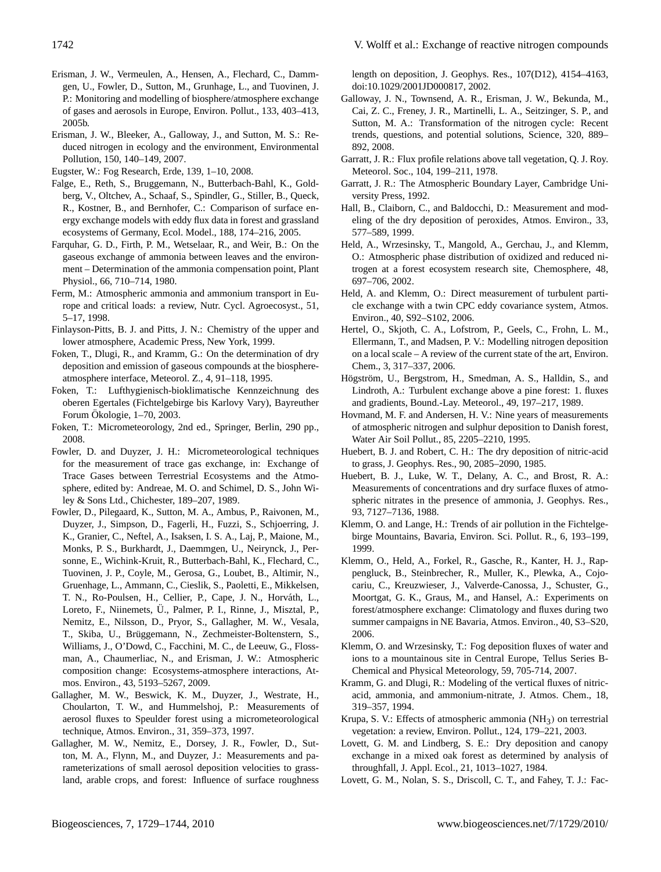- Erisman, J. W., Vermeulen, A., Hensen, A., Flechard, C., Dammgen, U., Fowler, D., Sutton, M., Grunhage, L., and Tuovinen, J. P.: Monitoring and modelling of biosphere/atmosphere exchange of gases and aerosols in Europe, Environ. Pollut., 133, 403–413, 2005b.
- Erisman, J. W., Bleeker, A., Galloway, J., and Sutton, M. S.: Reduced nitrogen in ecology and the environment, Environmental Pollution, 150, 140–149, 2007.
- Eugster, W.: Fog Research, Erde, 139, 1–10, 2008.
- Falge, E., Reth, S., Bruggemann, N., Butterbach-Bahl, K., Goldberg, V., Oltchev, A., Schaaf, S., Spindler, G., Stiller, B., Queck, R., Kostner, B., and Bernhofer, C.: Comparison of surface energy exchange models with eddy flux data in forest and grassland ecosystems of Germany, Ecol. Model., 188, 174–216, 2005.
- Farquhar, G. D., Firth, P. M., Wetselaar, R., and Weir, B.: On the gaseous exchange of ammonia between leaves and the environment – Determination of the ammonia compensation point, Plant Physiol., 66, 710–714, 1980.
- Ferm, M.: Atmospheric ammonia and ammonium transport in Europe and critical loads: a review, Nutr. Cycl. Agroecosyst., 51, 5–17, 1998.
- Finlayson-Pitts, B. J. and Pitts, J. N.: Chemistry of the upper and lower atmosphere, Academic Press, New York, 1999.
- Foken, T., Dlugi, R., and Kramm, G.: On the determination of dry deposition and emission of gaseous compounds at the biosphereatmosphere interface, Meteorol. Z., 4, 91–118, 1995.
- Foken, T.: Lufthygienisch-bioklimatische Kennzeichnung des oberen Egertales (Fichtelgebirge bis Karlovy Vary), Bayreuther Forum Ökologie, 1–70, 2003.
- Foken, T.: Micrometeorology, 2nd ed., Springer, Berlin, 290 pp., 2008.
- Fowler, D. and Duyzer, J. H.: Micrometeorological techniques for the measurement of trace gas exchange, in: Exchange of Trace Gases between Terrestrial Ecosystems and the Atmosphere, edited by: Andreae, M. O. and Schimel, D. S., John Wiley & Sons Ltd., Chichester, 189–207, 1989.
- Fowler, D., Pilegaard, K., Sutton, M. A., Ambus, P., Raivonen, M., Duyzer, J., Simpson, D., Fagerli, H., Fuzzi, S., Schjoerring, J. K., Granier, C., Neftel, A., Isaksen, I. S. A., Laj, P., Maione, M., Monks, P. S., Burkhardt, J., Daemmgen, U., Neirynck, J., Personne, E., Wichink-Kruit, R., Butterbach-Bahl, K., Flechard, C., Tuovinen, J. P., Coyle, M., Gerosa, G., Loubet, B., Altimir, N., Gruenhage, L., Ammann, C., Cieslik, S., Paoletti, E., Mikkelsen, T. N., Ro-Poulsen, H., Cellier, P., Cape, J. N., Horvath, L., ´ Loreto, F., Niinemets, Ü., Palmer, P. I., Rinne, J., Misztal, P., Nemitz, E., Nilsson, D., Pryor, S., Gallagher, M. W., Vesala, T., Skiba, U., Brüggemann, N., Zechmeister-Boltenstern, S., Williams, J., O'Dowd, C., Facchini, M. C., de Leeuw, G., Flossman, A., Chaumerliac, N., and Erisman, J. W.: Atmospheric composition change: Ecosystems-atmosphere interactions, Atmos. Environ., 43, 5193–5267, 2009.
- Gallagher, M. W., Beswick, K. M., Duyzer, J., Westrate, H., Choularton, T. W., and Hummelshoj, P.: Measurements of aerosol fluxes to Speulder forest using a micrometeorological technique, Atmos. Environ., 31, 359–373, 1997.
- Gallagher, M. W., Nemitz, E., Dorsey, J. R., Fowler, D., Sutton, M. A., Flynn, M., and Duyzer, J.: Measurements and parameterizations of small aerosol deposition velocities to grassland, arable crops, and forest: Influence of surface roughness

length on deposition, J. Geophys. Res., 107(D12), 4154–4163, doi:10.1029/2001JD000817, 2002.

- Galloway, J. N., Townsend, A. R., Erisman, J. W., Bekunda, M., Cai, Z. C., Freney, J. R., Martinelli, L. A., Seitzinger, S. P., and Sutton, M. A.: Transformation of the nitrogen cycle: Recent trends, questions, and potential solutions, Science, 320, 889– 892, 2008.
- Garratt, J. R.: Flux profile relations above tall vegetation, Q. J. Roy. Meteorol. Soc., 104, 199–211, 1978.
- Garratt, J. R.: The Atmospheric Boundary Layer, Cambridge University Press, 1992.
- Hall, B., Claiborn, C., and Baldocchi, D.: Measurement and modeling of the dry deposition of peroxides, Atmos. Environ., 33, 577–589, 1999.
- Held, A., Wrzesinsky, T., Mangold, A., Gerchau, J., and Klemm, O.: Atmospheric phase distribution of oxidized and reduced nitrogen at a forest ecosystem research site, Chemosphere, 48, 697–706, 2002.
- Held, A. and Klemm, O.: Direct measurement of turbulent particle exchange with a twin CPC eddy covariance system, Atmos. Environ., 40, S92–S102, 2006.
- Hertel, O., Skjoth, C. A., Lofstrom, P., Geels, C., Frohn, L. M., Ellermann, T., and Madsen, P. V.: Modelling nitrogen deposition on a local scale – A review of the current state of the art, Environ. Chem., 3, 317–337, 2006.
- Högström, U., Bergstrom, H., Smedman, A. S., Halldin, S., and Lindroth, A.: Turbulent exchange above a pine forest: 1. fluxes and gradients, Bound.-Lay. Meteorol., 49, 197–217, 1989.
- Hovmand, M. F. and Andersen, H. V.: Nine years of measurements of atmospheric nitrogen and sulphur deposition to Danish forest, Water Air Soil Pollut., 85, 2205–2210, 1995.
- Huebert, B. J. and Robert, C. H.: The dry deposition of nitric-acid to grass, J. Geophys. Res., 90, 2085–2090, 1985.
- Huebert, B. J., Luke, W. T., Delany, A. C., and Brost, R. A.: Measurements of concentrations and dry surface fluxes of atmospheric nitrates in the presence of ammonia, J. Geophys. Res., 93, 7127–7136, 1988.
- Klemm, O. and Lange, H.: Trends of air pollution in the Fichtelgebirge Mountains, Bavaria, Environ. Sci. Pollut. R., 6, 193–199, 1999.
- Klemm, O., Held, A., Forkel, R., Gasche, R., Kanter, H. J., Rappengluck, B., Steinbrecher, R., Muller, K., Plewka, A., Cojocariu, C., Kreuzwieser, J., Valverde-Canossa, J., Schuster, G., Moortgat, G. K., Graus, M., and Hansel, A.: Experiments on forest/atmosphere exchange: Climatology and fluxes during two summer campaigns in NE Bavaria, Atmos. Environ., 40, S3–S20, 2006.
- Klemm, O. and Wrzesinsky, T.: Fog deposition fluxes of water and ions to a mountainous site in Central Europe, Tellus Series B-Chemical and Physical Meteorology, 59, 705-714, 2007.
- Kramm, G. and Dlugi, R.: Modeling of the vertical fluxes of nitricacid, ammonia, and ammonium-nitrate, J. Atmos. Chem., 18, 319–357, 1994.
- Krupa, S. V.: Effects of atmospheric ammonia  $(NH<sub>3</sub>)$  on terrestrial vegetation: a review, Environ. Pollut., 124, 179–221, 2003.
- Lovett, G. M. and Lindberg, S. E.: Dry deposition and canopy exchange in a mixed oak forest as determined by analysis of throughfall, J. Appl. Ecol., 21, 1013–1027, 1984.
- Lovett, G. M., Nolan, S. S., Driscoll, C. T., and Fahey, T. J.: Fac-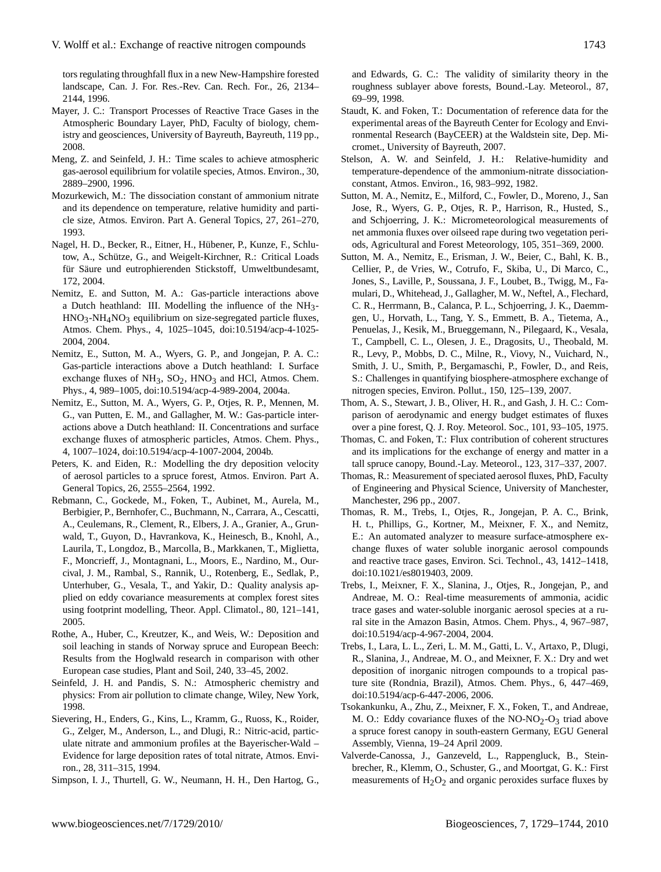tors regulating throughfall flux in a new New-Hampshire forested landscape, Can. J. For. Res.-Rev. Can. Rech. For., 26, 2134– 2144, 1996.

- Mayer, J. C.: Transport Processes of Reactive Trace Gases in the Atmospheric Boundary Layer, PhD, Faculty of biology, chemistry and geosciences, University of Bayreuth, Bayreuth, 119 pp., 2008.
- Meng, Z. and Seinfeld, J. H.: Time scales to achieve atmospheric gas-aerosol equilibrium for volatile species, Atmos. Environ., 30, 2889–2900, 1996.
- Mozurkewich, M.: The dissociation constant of ammonium nitrate and its dependence on temperature, relative humidity and particle size, Atmos. Environ. Part A. General Topics, 27, 261–270, 1993.
- Nagel, H. D., Becker, R., Eitner, H., Hubener, P., Kunze, F., Schlu- ¨ tow, A., Schütze, G., and Weigelt-Kirchner, R.: Critical Loads für Säure und eutrophierenden Stickstoff, Umweltbundesamt, 172, 2004.
- Nemitz, E. and Sutton, M. A.: Gas-particle interactions above a Dutch heathland: III. Modelling the influence of the NH3- HNO3-NH4NO3 equilibrium on size-segregated particle fluxes, Atmos. Chem. Phys., 4, 1025–1045, doi:10.5194/acp-4-1025- 2004, 2004.
- Nemitz, E., Sutton, M. A., Wyers, G. P., and Jongejan, P. A. C.: Gas-particle interactions above a Dutch heathland: I. Surface exchange fluxes of  $NH_3$ ,  $SO_2$ ,  $HNO_3$  and HCl, Atmos. Chem. Phys., 4, 989–1005, doi:10.5194/acp-4-989-2004, 2004a.
- Nemitz, E., Sutton, M. A., Wyers, G. P., Otjes, R. P., Mennen, M. G., van Putten, E. M., and Gallagher, M. W.: Gas-particle interactions above a Dutch heathland: II. Concentrations and surface exchange fluxes of atmospheric particles, Atmos. Chem. Phys., 4, 1007–1024, doi:10.5194/acp-4-1007-2004, 2004b.
- Peters, K. and Eiden, R.: Modelling the dry deposition velocity of aerosol particles to a spruce forest, Atmos. Environ. Part A. General Topics, 26, 2555–2564, 1992.
- Rebmann, C., Gockede, M., Foken, T., Aubinet, M., Aurela, M., Berbigier, P., Bernhofer, C., Buchmann, N., Carrara, A., Cescatti, A., Ceulemans, R., Clement, R., Elbers, J. A., Granier, A., Grunwald, T., Guyon, D., Havrankova, K., Heinesch, B., Knohl, A., Laurila, T., Longdoz, B., Marcolla, B., Markkanen, T., Miglietta, F., Moncrieff, J., Montagnani, L., Moors, E., Nardino, M., Ourcival, J. M., Rambal, S., Rannik, U., Rotenberg, E., Sedlak, P., Unterhuber, G., Vesala, T., and Yakir, D.: Quality analysis applied on eddy covariance measurements at complex forest sites using footprint modelling, Theor. Appl. Climatol., 80, 121–141, 2005.
- Rothe, A., Huber, C., Kreutzer, K., and Weis, W.: Deposition and soil leaching in stands of Norway spruce and European Beech: Results from the Hoglwald research in comparison with other European case studies, Plant and Soil, 240, 33–45, 2002.
- Seinfeld, J. H. and Pandis, S. N.: Atmospheric chemistry and physics: From air pollution to climate change, Wiley, New York, 1998.
- Sievering, H., Enders, G., Kins, L., Kramm, G., Ruoss, K., Roider, G., Zelger, M., Anderson, L., and Dlugi, R.: Nitric-acid, particulate nitrate and ammonium profiles at the Bayerischer-Wald – Evidence for large deposition rates of total nitrate, Atmos. Environ., 28, 311–315, 1994.
- Simpson, I. J., Thurtell, G. W., Neumann, H. H., Den Hartog, G.,

and Edwards, G. C.: The validity of similarity theory in the roughness sublayer above forests, Bound.-Lay. Meteorol., 87, 69–99, 1998.

- Staudt, K. and Foken, T.: Documentation of reference data for the experimental areas of the Bayreuth Center for Ecology and Environmental Research (BayCEER) at the Waldstein site, Dep. Micromet., University of Bayreuth, 2007.
- Stelson, A. W. and Seinfeld, J. H.: Relative-humidity and temperature-dependence of the ammonium-nitrate dissociationconstant, Atmos. Environ., 16, 983–992, 1982.
- Sutton, M. A., Nemitz, E., Milford, C., Fowler, D., Moreno, J., San Jose, R., Wyers, G. P., Otjes, R. P., Harrison, R., Husted, S., and Schjoerring, J. K.: Micrometeorological measurements of net ammonia fluxes over oilseed rape during two vegetation periods, Agricultural and Forest Meteorology, 105, 351–369, 2000.
- Sutton, M. A., Nemitz, E., Erisman, J. W., Beier, C., Bahl, K. B., Cellier, P., de Vries, W., Cotrufo, F., Skiba, U., Di Marco, C., Jones, S., Laville, P., Soussana, J. F., Loubet, B., Twigg, M., Famulari, D., Whitehead, J., Gallagher, M. W., Neftel, A., Flechard, C. R., Herrmann, B., Calanca, P. L., Schjoerring, J. K., Daemmgen, U., Horvath, L., Tang, Y. S., Emmett, B. A., Tietema, A., Penuelas, J., Kesik, M., Brueggemann, N., Pilegaard, K., Vesala, T., Campbell, C. L., Olesen, J. E., Dragosits, U., Theobald, M. R., Levy, P., Mobbs, D. C., Milne, R., Viovy, N., Vuichard, N., Smith, J. U., Smith, P., Bergamaschi, P., Fowler, D., and Reis, S.: Challenges in quantifying biosphere-atmosphere exchange of nitrogen species, Environ. Pollut., 150, 125–139, 2007.
- Thom, A. S., Stewart, J. B., Oliver, H. R., and Gash, J. H. C.: Comparison of aerodynamic and energy budget estimates of fluxes over a pine forest, Q. J. Roy. Meteorol. Soc., 101, 93–105, 1975.
- Thomas, C. and Foken, T.: Flux contribution of coherent structures and its implications for the exchange of energy and matter in a tall spruce canopy, Bound.-Lay. Meteorol., 123, 317–337, 2007.
- Thomas, R.: Measurement of speciated aerosol fluxes, PhD, Faculty of Engineering and Physical Science, University of Manchester, Manchester, 296 pp., 2007.
- Thomas, R. M., Trebs, I., Otjes, R., Jongejan, P. A. C., Brink, H. t., Phillips, G., Kortner, M., Meixner, F. X., and Nemitz, E.: An automated analyzer to measure surface-atmosphere exchange fluxes of water soluble inorganic aerosol compounds and reactive trace gases, Environ. Sci. Technol., 43, 1412–1418, doi:10.1021/es8019403, 2009.
- Trebs, I., Meixner, F. X., Slanina, J., Otjes, R., Jongejan, P., and Andreae, M. O.: Real-time measurements of ammonia, acidic trace gases and water-soluble inorganic aerosol species at a rural site in the Amazon Basin, Atmos. Chem. Phys., 4, 967–987, doi:10.5194/acp-4-967-2004, 2004.
- Trebs, I., Lara, L. L., Zeri, L. M. M., Gatti, L. V., Artaxo, P., Dlugi, R., Slanina, J., Andreae, M. O., and Meixner, F. X.: Dry and wet deposition of inorganic nitrogen compounds to a tropical pasture site (Rondnia, Brazil), Atmos. Chem. Phys., 6, 447–469, doi:10.5194/acp-6-447-2006, 2006.
- Tsokankunku, A., Zhu, Z., Meixner, F. X., Foken, T., and Andreae, M. O.: Eddy covariance fluxes of the  $NO-NO<sub>2</sub>-O<sub>3</sub>$  triad above a spruce forest canopy in south-eastern Germany, EGU General Assembly, Vienna, 19–24 April 2009.
- Valverde-Canossa, J., Ganzeveld, L., Rappengluck, B., Steinbrecher, R., Klemm, O., Schuster, G., and Moortgat, G. K.: First measurements of  $H_2O_2$  and organic peroxides surface fluxes by